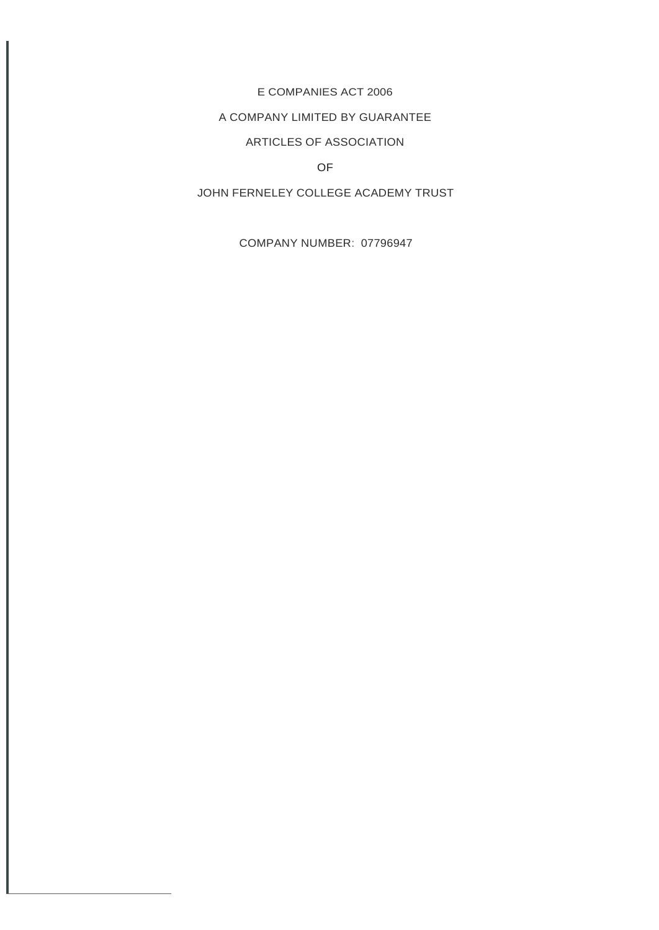## E COMPANIES ACT 2006

## A COMPANY LIMITED BY GUARANTEE

# ARTICLES OF ASSOCIATION

## OF

# JOHN FERNELEY COLLEGE ACADEMY TRUST

COMPANY NUMBER: 07796947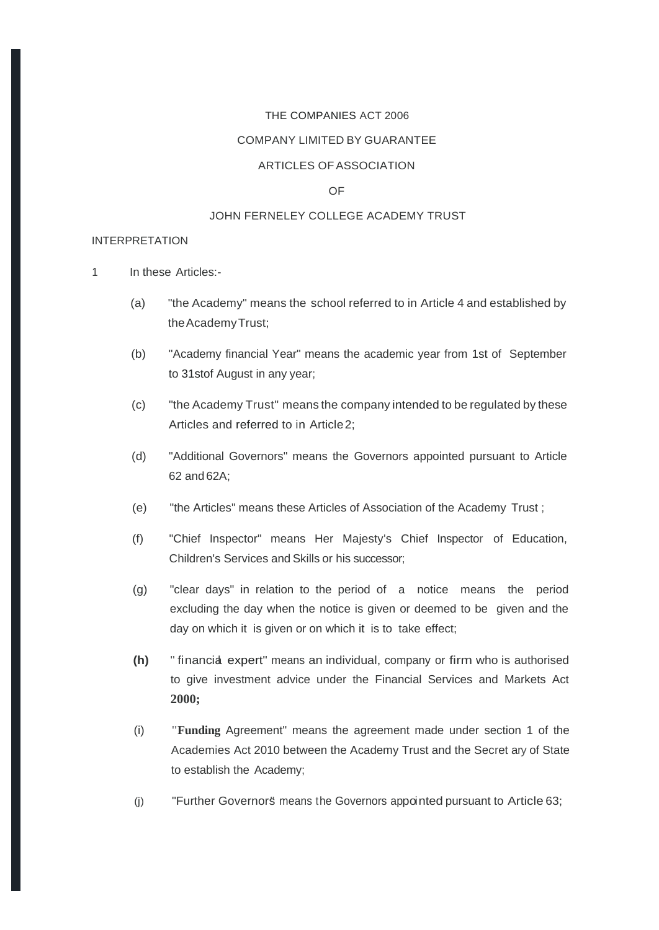#### THE COMPANIES ACT 2006

#### COMPANY LIMITED BY GUARANTEE

#### ARTICLES OF ASSOCIATION

### OF

#### JOHN FERNELEY COLLEGE ACADEMY TRUST

#### INTERPRETATION

1 In these Articles:-

- (a) "the Academy" means the school referred to in Article 4 and established by theAcademyTrust;
- (b) "Academy financial Year" means the academic year from 1st of September to 31stof August in any year;
- (c) "the Academy Trust" means the company intended to be regulated by these Articles and referred to in Article2;
- (d) "Additional Governors" means the Governors appointed pursuant to Article 62 and 62A;
- (e) "the Articles" means these Articles of Association of the Academy Trust ;
- (f) "Chief Inspector" means Her Majesty's Chief Inspector of Education, Children's Services and Skills or his successor;
- (g) "clear days" in relation to the period of a notice means the period excluding the day when the notice is given or deemed to be given and the day on which it is given or on which it is to take effect;
- **(h)** " financial expert" means an individual, company or firm who is authorised to give investment advice under the Financial Services and Markets Act **2000;**
- (i) **"Funding** Agreement" means the agreement made under section 1 of the Academies Act 2010 between the Academy Trust and the Secret ary of State to establish the Academy;
- (i) "Further Governorst means the Governors appointed pursuant to Article 63;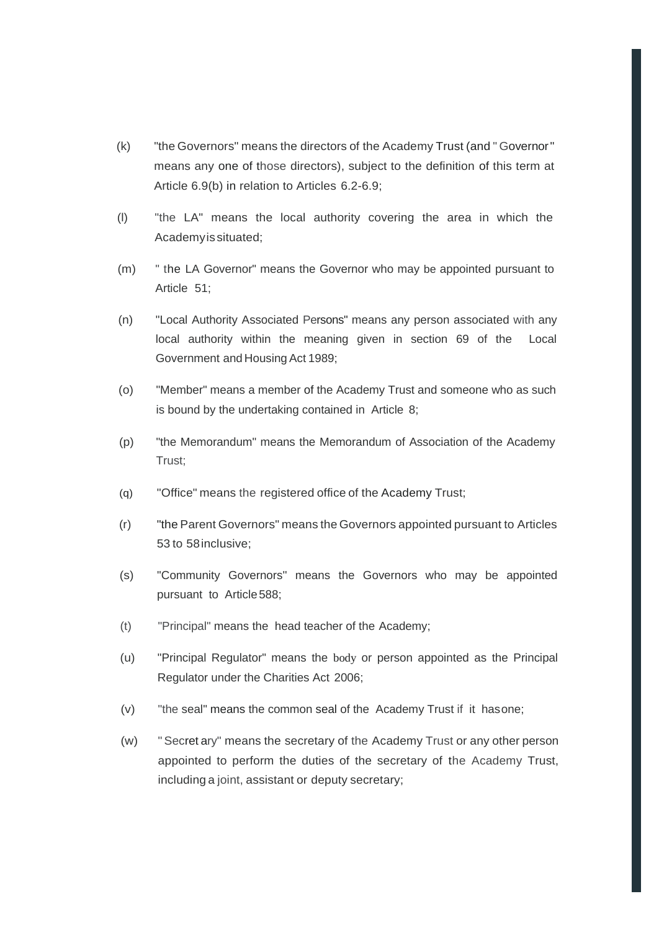- (k) "the Governors" means the directors of the Academy Trust (and " Governor" means any one of those directors), subject to the definition of this term at Article 6.9(b) in relation to Articles 6.2-6.9;
- (l) "the LA" means the local authority covering the area in which the Academyissituated;
- (m) " the LA Governor" means the Governor who may be appointed pursuant to Article 51;
- (n) "Local Authority Associated Persons" means any person associated with any local authority within the meaning given in section 69 of the Local Government and Housing Act 1989;
- (o) "Member" means a member of the Academy Trust and someone who as such is bound by the undertaking contained in Article 8;
- (p) "the Memorandum" means the Memorandum of Association of the Academy Trust;
- (q) "Office" means the registered office of the Academy Trust;
- (r) "the Parent Governors" means the Governors appointed pursuant to Articles 53 to 58inclusive;
- (s) "Community Governors'' means the Governors who may be appointed pursuant to Article588;
- (t) "Principal" means the head teacher of the Academy;
- (u) "Principal Regulator" means the body or person appointed as the Principal Regulator under the Charities Act 2006;
- (v) "the seal" means the common seal of the Academy Trust if it hasone;
- (w) "Secret ary" means the secretary of the Academy Trust or any other person appointed to perform the duties of the secretary of the Academy Trust, including a joint, assistant or deputy secretary;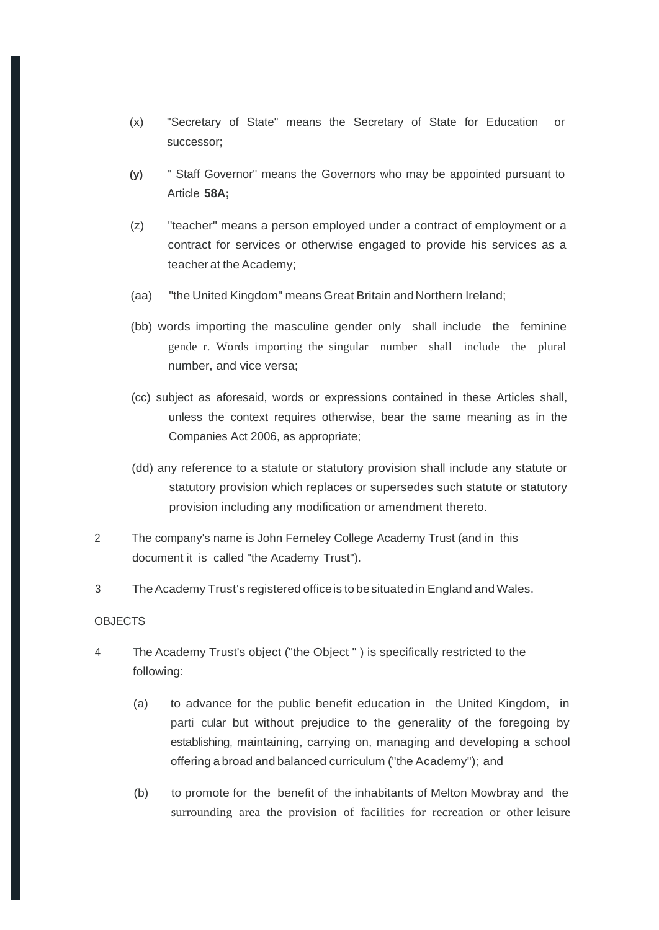- (x) "Secretary of State" means the Secretary of State for Education or successor;
- **(y)** " Staff Governor" means the Governors who may be appointed pursuant to Article **58A;**
- (z) "teacher" means a person employed under a contract of employment or a contract for services or otherwise engaged to provide his services as a teacher at the Academy;
- (aa) "the United Kingdom" means Great Britain and Northern Ireland;
- (bb) words importing the masculine gender only shall include the feminine gende r. Words importing the singular number shall include the plural number, and vice versa;
- (cc) subject as aforesaid, words or expressions contained in these Articles shall, unless the context requires otherwise, bear the same meaning as in the Companies Act 2006, as appropriate;
- (dd) any reference to a statute or statutory provision shall include any statute or statutory provision which replaces or supersedes such statute or statutory provision including any modification or amendment thereto.
- 2 The company's name is John Ferneley College Academy Trust (and in this document it is called "the Academy Trust").
- 3 TheAcademy Trust's registered officeis to besituatedin England andWales.

#### **OBJECTS**

- 4 The Academy Trust's object ("the Object " ) is specifically restricted to the following:
	- (a) to advance for the public benefit education in the United Kingdom, in parti cular but without prejudice to the generality of the foregoing by establishing, maintaining, carrying on, managing and developing a school offering a broad and balanced curriculum ("the Academy"); and
	- (b) to promote for the benefit of the inhabitants of Melton Mowbray and the surrounding area the provision of facilities for recreation or other leisure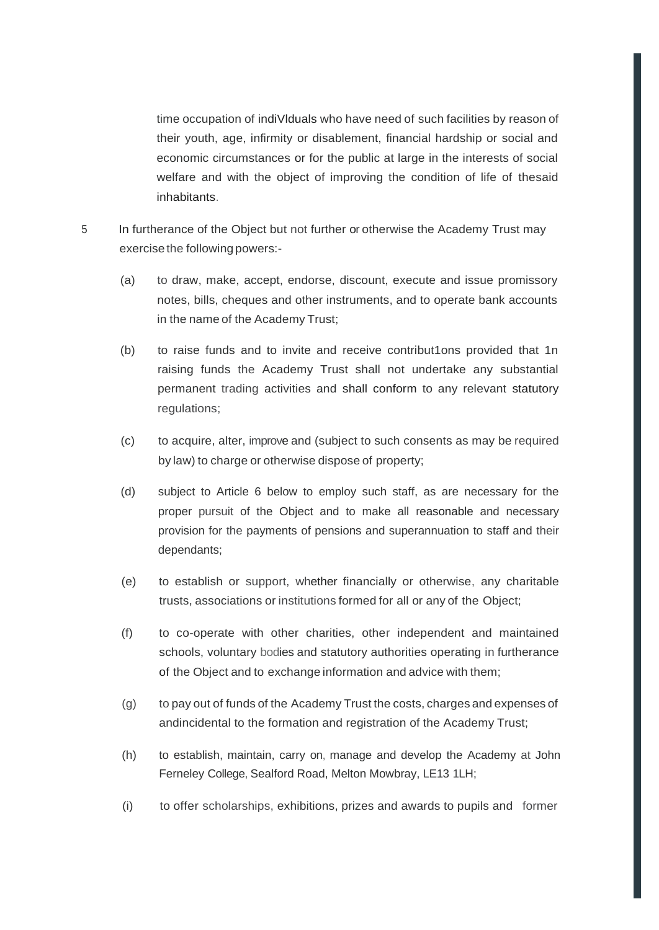time occupation of indiVlduals who have need of such facilities by reason of their youth, age, infirmity or disablement, financial hardship or social and economic circumstances or for the public at large in the interests of social welfare and with the object of improving the condition of life of thesaid inhabitants.

- 5 In furtherance of the Object but not further or otherwise the Academy Trust may exercise the following powers:-
	- (a) to draw, make, accept, endorse, discount, execute and issue promissory notes, bills, cheques and other instruments, and to operate bank accounts in the name of the Academy Trust;
	- (b) to raise funds and to invite and receive contribut1ons provided that 1n raising funds the Academy Trust shall not undertake any substantial permanent trading activities and shall conform to any relevant statutory regulations;
	- (c) to acquire, alter, improve and (subject to such consents as may be required by law) to charge or otherwise dispose of property;
	- (d) subject to Article 6 below to employ such staff, as are necessary for the proper pursuit of the Object and to make all reasonable and necessary provision for the payments of pensions and superannuation to staff and their dependants;
	- (e) to establish or support, whether financially or otherwise, any charitable trusts, associations or institutions formed for all or any of the Object;
	- (f) to co-operate with other charities, other independent and maintained schools, voluntary bodies and statutory authorities operating in furtherance of the Object and to exchange information and advice with them;
	- (g) to pay out of funds of the Academy Trust the costs, charges and expenses of andincidental to the formation and registration of the Academy Trust;
	- (h) to establish, maintain, carry on, manage and develop the Academy at John Ferneley College, Sealford Road, Melton Mowbray, LE13 1LH;
	- (i) to offer scholarships, exhibitions, prizes and awards to pupils and former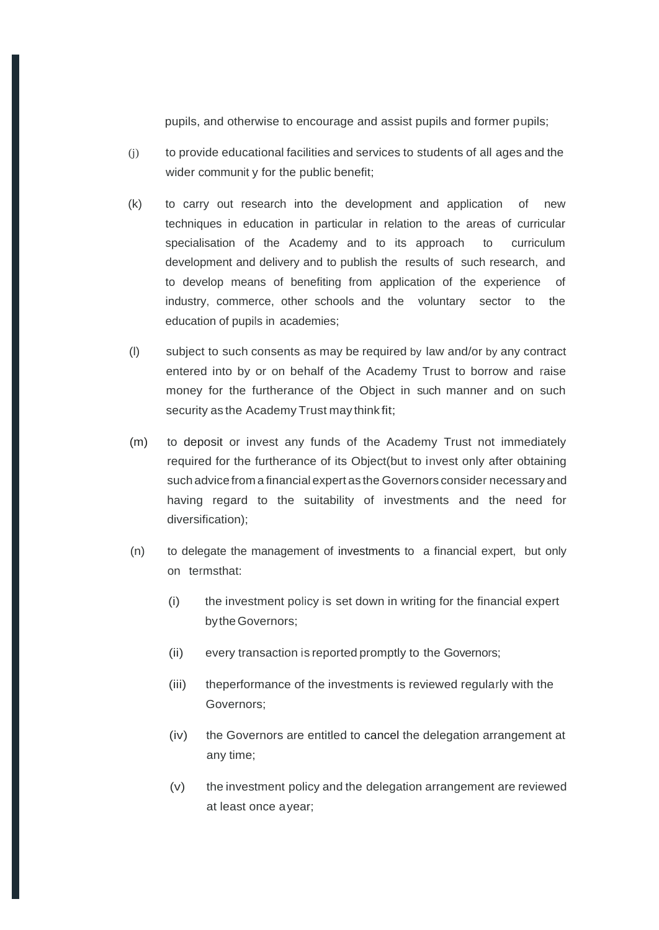pupils, and otherwise to encourage and assist pupils and former pupils;

- (j) to provide educational facilities and services to students of all ages and the wider communit y for the public benefit;
- (k) to carry out research into the development and application of new techniques in education in particular in relation to the areas of curricular specialisation of the Academy and to its approach to curriculum development and delivery and to publish the results of such research, and to develop means of benefiting from application of the experience of industry, commerce, other schools and the voluntary sector to the education of pupils in academies;
- (l) subject to such consents as may be required by law and/or by any contract entered into by or on behalf of the Academy Trust to borrow and raise money for the furtherance of the Object in such manner and on such security as the Academy Trust may think fit;
- (m) to deposit or invest any funds of the Academy Trust not immediately required for the furtherance of its Object(but to invest only after obtaining such advice from a financial expert as the Governors consider necessary and having regard to the suitability of investments and the need for diversification);
- (n) to delegate the management of investments to a financial expert, but only on termsthat:
	- (i) the investment policy is set down in writing for the financial expert bytheGovernors;
	- (ii) every transaction is reported promptly to the Governors;
	- (iii) theperformance of the investments is reviewed regularly with the Governors;
	- (iv) the Governors are entitled to cancel the delegation arrangement at any time;
	- (v) the investment policy and the delegation arrangement are reviewed at least once ayear;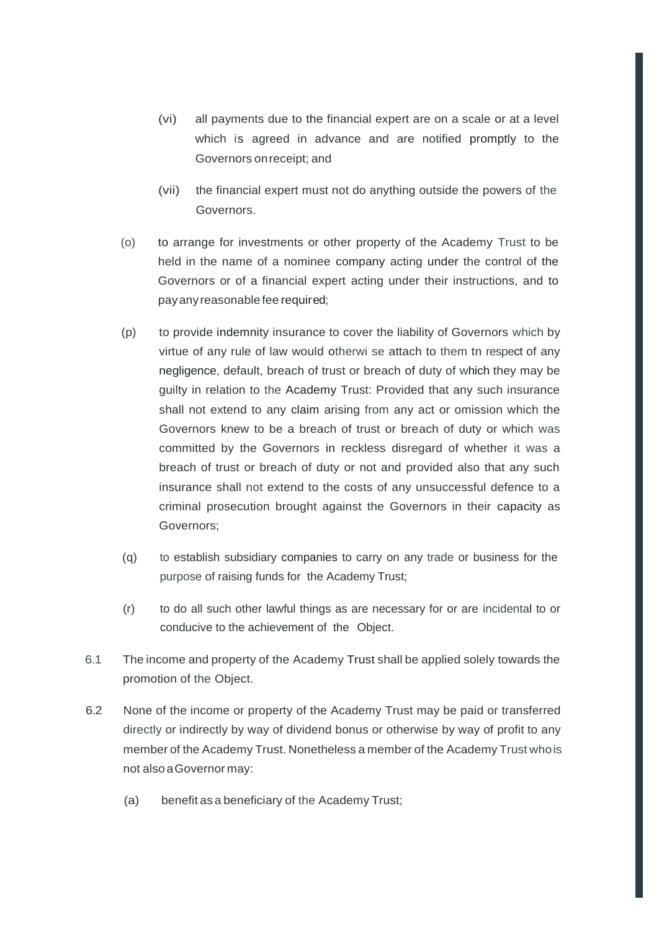- (vi) all payments due to the financial expert are on a scale or at a level which is agreed in advance and are notified promptly to the Governors onreceipt; and
- (vii) the financial expert must not do anything outside the powers of the Governors.
- (o) to arrange for investments or other property of the Academy Trust to be held in the name of a nominee company acting under the control of the Governors or of a financial expert acting under their instructions, and to payanyreasonable fee required;
- (p) to provide indemnity insurance to cover the liability of Governors which by virtue of any rule of law would otherwi se attach to them tn respect of any negligence, default, breach of trust or breach of duty of which they may be guilty in relation to the Academy Trust: Provided that any such insurance shall not extend to any claim arising from any act or omission which the Governors knew to be a breach of trust or breach of duty or which was committed by the Governors in reckless disregard of whether it was a breach of trust or breach of duty or not and provided also that any such insurance shall not extend to the costs of any unsuccessful defence to a criminal prosecution brought against the Governors in their capacity as Governors;
- (q) to establish subsidiary companies to carry on any trade or business for the purpose of raising funds for the Academy Trust;
- (r) to do all such other lawful things as are necessary for or are incidental to or conducive to the achievement of the Object.
- 6.1 The income and property of the Academy Trust shall be applied solely towards the promotion of the Object.
- 6.2 None of the income or property of the Academy Trust may be paid or transferred directly or indirectly by way of dividend bonus or otherwise by way of profit to any member of the Academy Trust. Nonetheless a member of the Academy Trust whois not also aGovernor may:
	- (a) benefit as a beneficiary of the Academy Trust;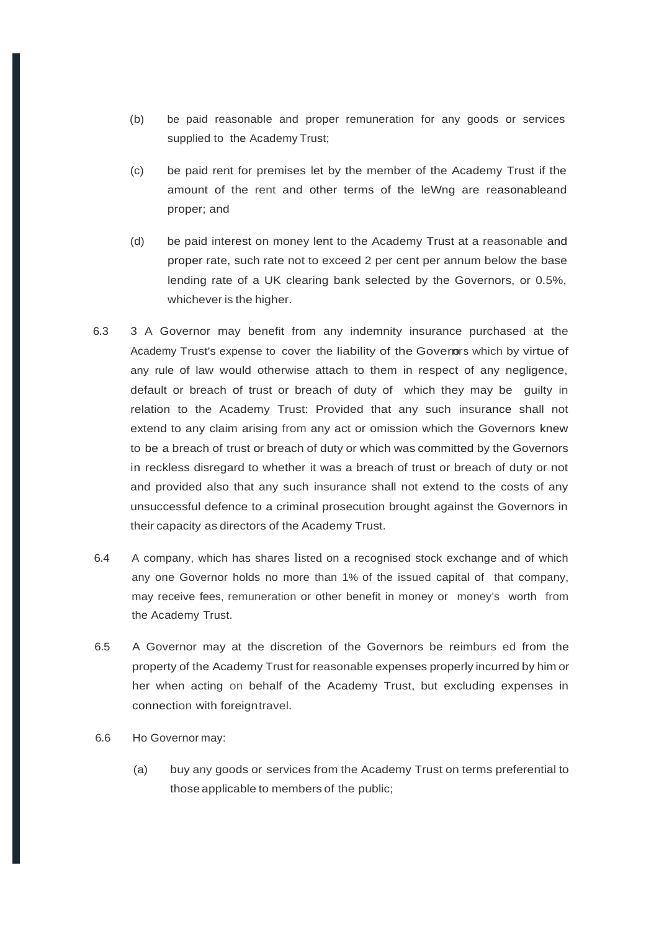- (b) be paid reasonable and proper remuneration for any goods or services supplied to the Academy Trust;
- (c) be paid rent for premises let by the member of the Academy Trust if the amount of the rent and other terms of the leWng are reasonableand proper; and
- (d) be paid interest on money lent to the Academy Trust at a reasonable and proper rate, such rate not to exceed 2 per cent per annum below the base lending rate of a UK clearing bank selected by the Governors, or 0.5%, whichever is the higher.
- 6.3 3 A Governor may benefit from any indemnity insurance purchased at the Academy Trust's expense to cover the liability of the Governors which by virtue of any rule of law would otherwise attach to them in respect of any negligence, default or breach of trust or breach of duty of which they may be guilty in relation to the Academy Trust: Provided that any such insurance shall not extend to any claim arising from any act or omission which the Governors knew to be a breach of trust or breach of duty or which was committed by the Governors in reckless disregard to whether it was a breach of trust or breach of duty or not and provided also that any such insurance shall not extend to the costs of any unsuccessful defence to a criminal prosecution brought against the Governors in their capacity as directors of the Academy Trust.
- 6.4 A company, which has shares listed on a recognised stock exchange and of which any one Governor holds no more than 1% of the issued capital of that company, may receive fees, remuneration or other benefit in money or money's worth from the Academy Trust.
- 6.5 A Governor may at the discretion of the Governors be reimburs ed from the property of the Academy Trust for reasonable expenses properly incurred by him or her when acting on behalf of the Academy Trust, but excluding expenses in connection with foreigntravel.
- 6.6 Ho Governor may:
	- (a) buy any goods or services from the Academy Trust on terms preferential to those applicable to members of the public;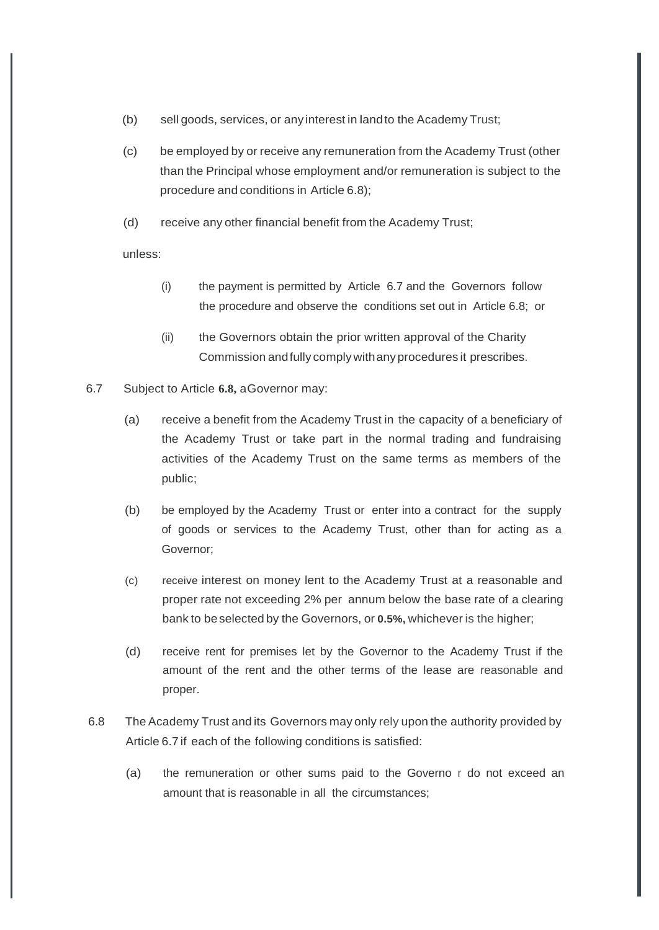- (b) sell goods, services, or any interest in landto the Academy Trust;
- (c) be employed by or receive any remuneration from the Academy Trust (other than the Principal whose employment and/or remuneration is subject to the procedure and conditions in Article 6.8);
- (d) receive any other financial benefit from the Academy Trust;

unless:

- (i) the payment is permitted by Article 6.7 and the Governors follow the procedure and observe the conditions set out in Article 6.8; or
- (ii) the Governors obtain the prior written approval of the Charity Commission andfully comply withanyprocedures it prescribes.
- 6.7 Subject to Article **6.8,** aGovernor may:
	- (a) receive a benefit from the Academy Trust in the capacity of a beneficiary of the Academy Trust or take part in the normal trading and fundraising activities of the Academy Trust on the same terms as members of the public;
	- (b) be employed by the Academy Trust or enter into a contract for the supply of goods or services to the Academy Trust, other than for acting as a Governor;
	- (c) receive interest on money lent to the Academy Trust at a reasonable and proper rate not exceeding 2% per annum below the base rate of a clearing bank to beselected by the Governors, or **0.5%,** whichever is the higher;
	- (d) receive rent for premises let by the Governor to the Academy Trust if the amount of the rent and the other terms of the lease are reasonable and proper.
- 6.8 The Academy Trust and its Governors may only rely upon the authority provided by Article 6.7 if each of the following conditions is satisfied:
	- (a) the remuneration or other sums paid to the Governo r do not exceed an amount that is reasonable in all the circumstances;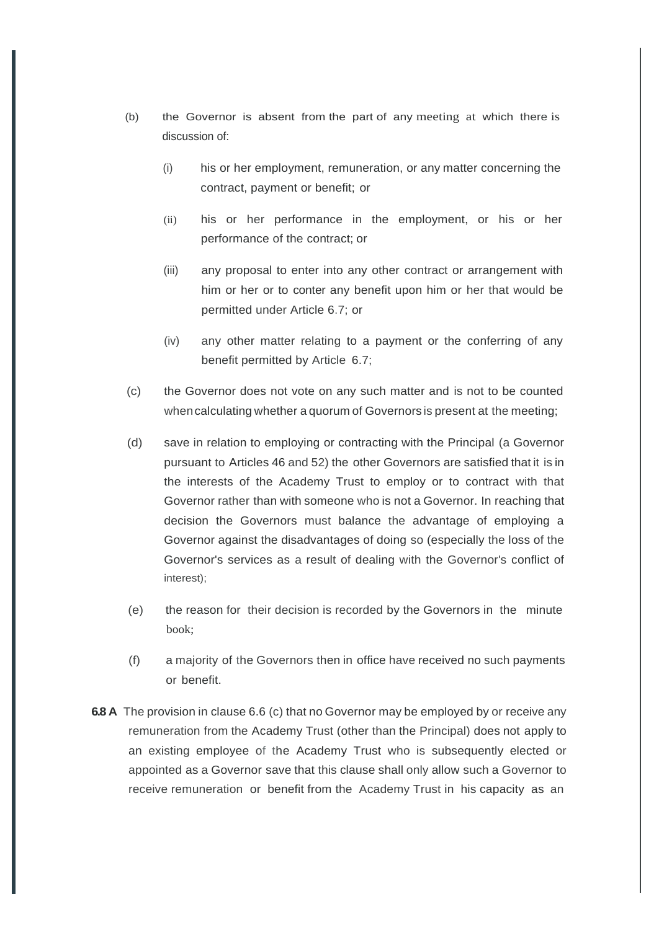- (b) the Governor is absent from the part of any meeting at which there is discussion of:
	- (i) his or her employment, remuneration, or any matter concerning the contract, payment or benefit; or
	- (ii) his or her performance in the employment, or his or her performance of the contract; or
	- (iii) any proposal to enter into any other contract or arrangement with him or her or to conter any benefit upon him or her that would be permitted under Article 6.7; or
	- (iv) any other matter relating to a payment or the conferring of any benefit permitted by Article 6.7;
- (c) the Governor does not vote on any such matter and is not to be counted whencalculating whether a quorum of Governors is present at the meeting;
- (d) save in relation to employing or contracting with the Principal (a Governor pursuant to Articles 46 and 52) the other Governors are satisfied that it is in the interests of the Academy Trust to employ or to contract with that Governor rather than with someone who is not a Governor. In reaching that decision the Governors must balance the advantage of employing a Governor against the disadvantages of doing so (especially the loss of the Governor's services as a result of dealing with the Governor's conflict of interest);
- (e) the reason for their decision is recorded by the Governors in the minute book;
- (f) a majority of the Governors then in office have received no such payments or benefit.
- **6.8 A** The provision in clause 6.6 (c) that no Governor may be employed by or receive any remuneration from the Academy Trust (other than the Principal) does not apply to an existing employee of the Academy Trust who is subsequently elected or appointed as a Governor save that this clause shall only allow such a Governor to receive remuneration or benefit from the Academy Trust in his capacity as an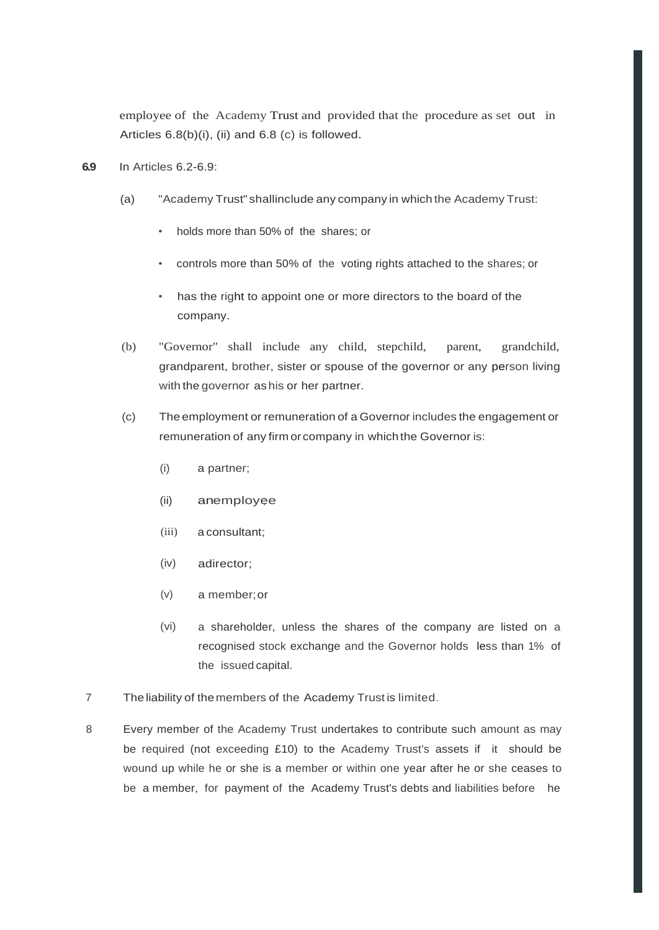employee of the Academy Trust and provided that the procedure as set out in Articles 6.8(b)(i), (ii) and 6.8 (c) is followed.

- **6.9** In Articles 6.2-6.9:
	- (a) "Academy Trust" shallinclude any company in which the Academy Trust:
		- holds more than 50% of the shares; or
		- controls more than 50% of the voting rights attached to the shares; or
		- has the right to appoint one or more directors to the board of the company.
	- (b) "Governor" shall include any child, stepchild, parent, grandchild, grandparent, brother, sister or spouse of the governor or any person living with the governor as his or her partner.
	- (c) The employment or remuneration of a Governor includes the engagement or remuneration of any firm orcompany in whichthe Governor is:
		- (i) a partner;
		- (ii) anemployee
		- (iii) a consultant;
		- (iv) adirector;
		- (v) a member;or
		- (vi) a shareholder, unless the shares of the company are listed on a recognised stock exchange and the Governor holds less than 1% of the issued capital.
- 7 The liability of themembers of the Academy Trust is limited.
- 8 Every member of the Academy Trust undertakes to contribute such amount as may be required (not exceeding £10) to the Academy Trust's assets if it should be wound up while he or she is a member or within one year after he or she ceases to be a member, for payment of the Academy Trust's debts and liabilities before he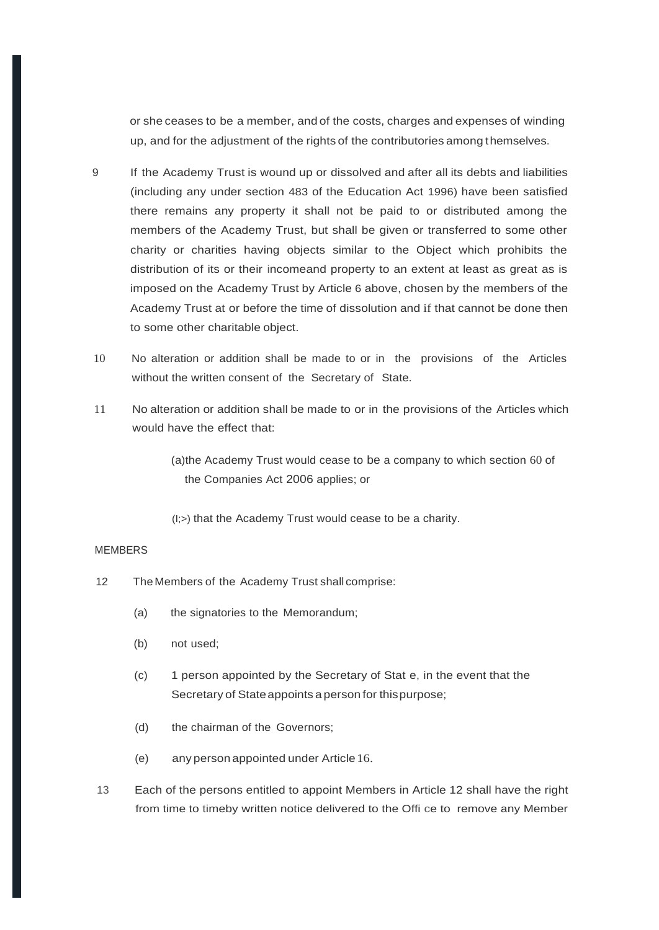or she ceases to be a member, and of the costs, charges and expenses of winding up, and for the adjustment of the rights of the contributories among themselves.

- 9 If the Academy Trust is wound up or dissolved and after all its debts and liabilities (including any under section 483 of the Education Act 1996) have been satisfied there remains any property it shall not be paid to or distributed among the members of the Academy Trust, but shall be given or transferred to some other charity or charities having objects similar to the Object which prohibits the distribution of its or their incomeand property to an extent at least as great as is imposed on the Academy Trust by Article 6 above, chosen by the members of the Academy Trust at or before the time of dissolution and if that cannot be done then to some other charitable object.
- 10 No alteration or addition shall be made to or in the provisions of the Articles without the written consent of the Secretary of State.
- 11 No alteration or addition shall be made to or in the provisions of the Articles which would have the effect that:

(a)the Academy Trust would cease to be a company to which section 60 of the Companies Act 2006 applies; or

(I;>) that the Academy Trust would cease to be a charity.

#### **MEMBERS**

- 12 The Members of the Academy Trust shall comprise:
	- (a) the signatories to the Memorandum;
	- (b) not used;
	- (c) 1 person appointed by the Secretary of Stat e, in the event that the Secretary of Stateappoints a person for thispurpose;
	- (d) the chairman of the Governors;
	- (e) any person appointed under Article 16.
- 13 Each of the persons entitled to appoint Members in Article 12 shall have the right from time to timeby written notice delivered to the Offi ce to remove any Member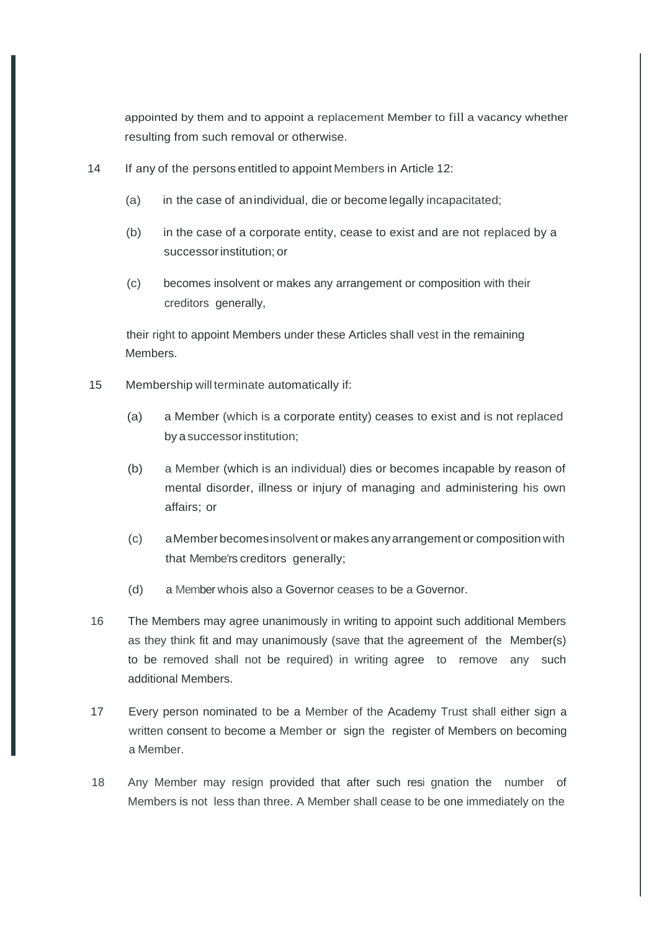appointed by them and to appoint a replacement Member to fill a vacancy whether resulting from such removal or otherwise.

- 14 If any of the persons entitled to appoint Members in Article 12:
	- (a) in the case of anindividual, die or become legally incapacitated;
	- (b) in the case of a corporate entity, cease to exist and are not replaced by a successorinstitution; or
	- (c) becomes insolvent or makes any arrangement or composition with their creditors generally,

their right to appoint Members under these Articles shall vest in the remaining Members.

- 15 Membership will terminate automatically if:
	- (a) a Member (which is a corporate entity) ceases to exist and is not replaced by a successorinstitution;
	- (b) a Member (which is an individual) dies or becomes incapable by reason of mental disorder, illness or injury of managing and administering his own affairs; or
	- (c) aMember becomesinsolvent or makes anyarrangement or composition with that Membe'rs creditors generally;
	- (d) a Member whois also a Governor ceases to be a Governor.
- 16 The Members may agree unanimously in writing to appoint such additional Members as they think fit and may unanimously (save that the agreement of the Member(s) to be removed shall not be required) in writing agree to remove any such additional Members.
- 17 Every person nominated to be a Member of the Academy Trust shall either sign a written consent to become a Member or sign the register of Members on becoming a Member.
- 18 Any Member may resign provided that after such resi gnation the number of Members is not less than three. A Member shall cease to be one immediately on the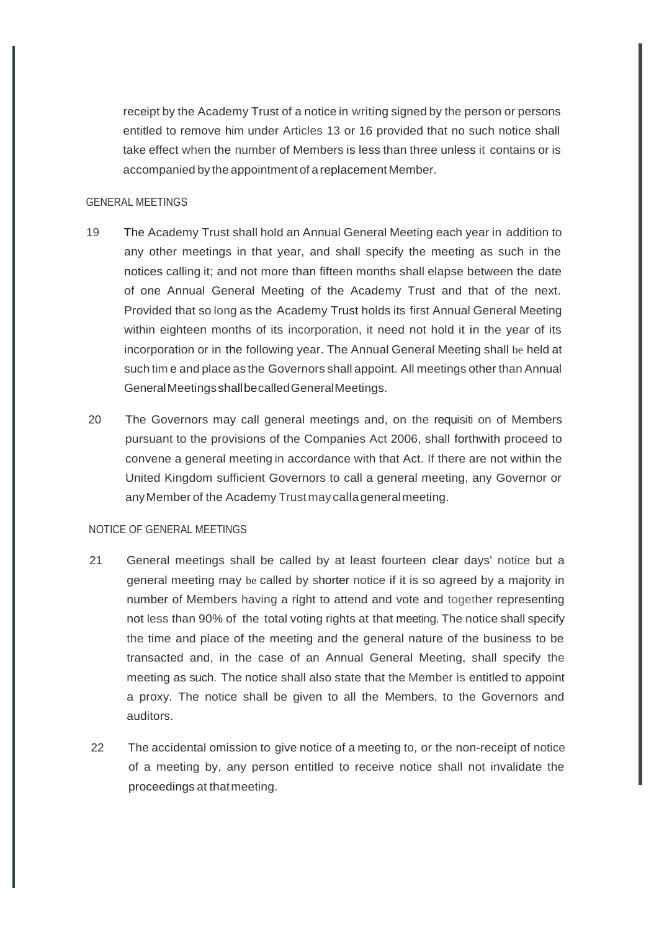receipt by the Academy Trust of a notice in writing signed by the person or persons entitled to remove him under Articles 13 or 16 provided that no such notice shall take effect when the number of Members is less than three unless it contains or is accompanied by the appointment of areplacement Member.

#### GENERAL MEETINGS

- 19 The Academy Trust shall hold an Annual General Meeting each year in addition to any other meetings in that year, and shall specify the meeting as such in the notices calling it; and not more than fifteen months shall elapse between the date of one Annual General Meeting of the Academy Trust and that of the next. Provided that so long as the Academy Trust holds its first Annual General Meeting within eighteen months of its incorporation, it need not hold it in the year of its incorporation or in the following year. The Annual General Meeting shall be held at such tim e and place as the Governors shall appoint. All meetings other than Annual GeneralMeetingsshallbecalledGeneralMeetings.
- 20 The Governors may call general meetings and, on the requisiti on of Members pursuant to the provisions of the Companies Act 2006, shall forthwith proceed to convene a general meeting in accordance with that Act. If there are not within the United Kingdom sufficient Governors to call a general meeting, any Governor or anyMember of the Academy Trust may callageneralmeeting.

#### NOTICE OF GENERAL MEETINGS

- 21 General meetings shall be called by at least fourteen clear days' notice but a general meeting may be called by shorter notice if it is so agreed by a majority in number of Members having a right to attend and vote and together representing not less than 90% of the total voting rights at that meeting. The notice shall specify the time and place of the meeting and the general nature of the business to be transacted and, in the case of an Annual General Meeting, shall specify the meeting as such. The notice shall also state that the Member is entitled to appoint a proxy. The notice shall be given to all the Members, to the Governors and auditors.
- 22 The accidental omission to give notice of a meeting to, or the non-receipt of notice of a meeting by, any person entitled to receive notice shall not invalidate the proceedings at thatmeeting.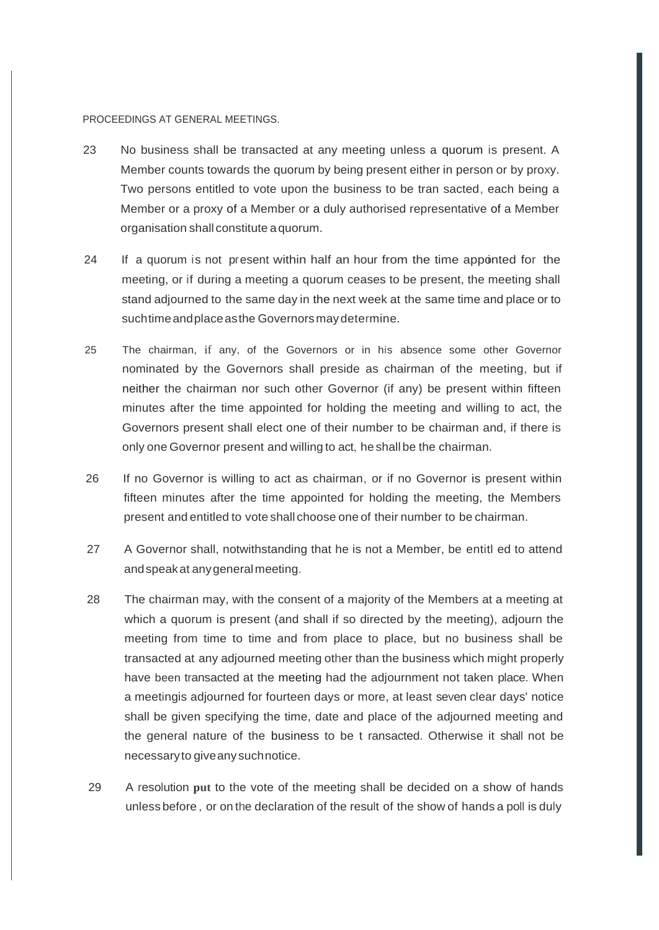#### PROCEEDINGS AT GENERAL MEETINGS.

- 23 No business shall be transacted at any meeting unless a quorum is present. A Member counts towards the quorum by being present either in person or by proxy. Two persons entitled to vote upon the business to be tran sacted, each being a Member or a proxy of a Member or a duly authorised representative of a Member organisation shall constitute aquorum.
- 24 If a quorum is not present within half an hour from the time appointed for the meeting, or if during a meeting a quorum ceases to be present, the meeting shall stand adjourned to the same day in the next week at the same time and place or to suchtimeandplaceasthe Governorsmaydetermine.
- 25 The chairman, if any, of the Governors or in his absence some other Governor nominated by the Governors shall preside as chairman of the meeting, but if neither the chairman nor such other Governor (if any) be present within fifteen minutes after the time appointed for holding the meeting and willing to act, the Governors present shall elect one of their number to be chairman and, if there is only one Governor present and willing to act, he shall be the chairman.
- 26 If no Governor is willing to act as chairman, or if no Governor is present within fifteen minutes after the time appointed for holding the meeting, the Members present and entitled to vote shall choose one of their number to be chairman.
- 27 A Governor shall, notwithstanding that he is not a Member, be entitl ed to attend andspeakat anygeneralmeeting.
- 28 The chairman may, with the consent of a majority of the Members at a meeting at which a quorum is present (and shall if so directed by the meeting), adjourn the meeting from time to time and from place to place, but no business shall be transacted at any adjourned meeting other than the business which might properly have been transacted at the meeting had the adjournment not taken place. When a meetingis adjourned for fourteen days or more, at least seven clear days' notice shall be given specifying the time, date and place of the adjourned meeting and the general nature of the business to be t ransacted. Otherwise it shall not be necessaryto giveany suchnotice.
- 29 A resolution **put** to the vote of the meeting shall be decided on a show of hands unless before , or on the declaration of the result of the show of hands a poll is duly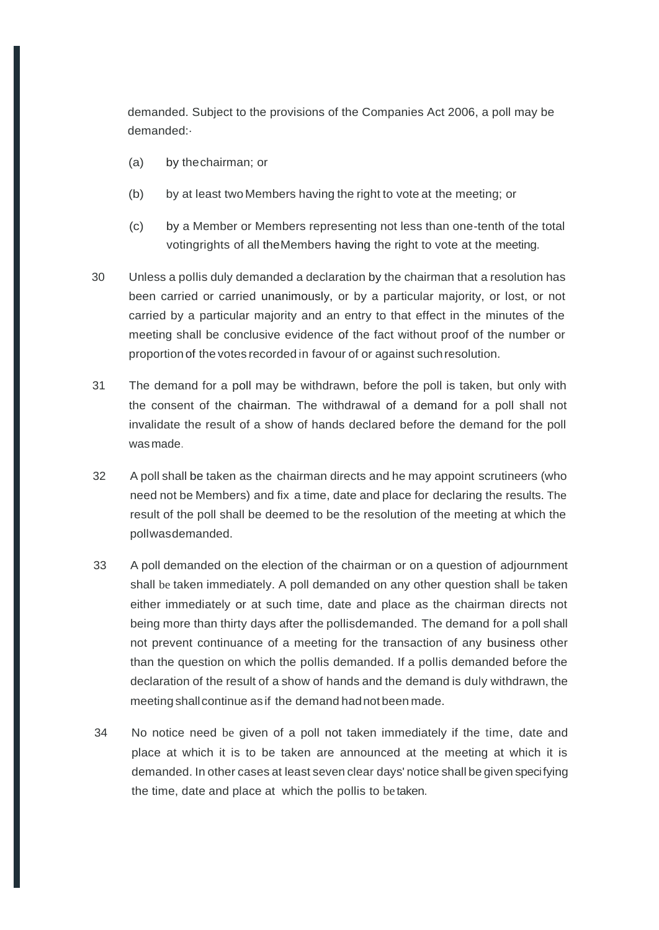demanded. Subject to the provisions of the Companies Act 2006, a poll may be demanded:·

- (a) by thechairman; or
- (b) by at least two Members having the right to vote at the meeting; or
- (c) by a Member or Members representing not less than one-tenth of the total votingrights of all theMembers having the right to vote at the meeting.
- 30 Unless a pollis duly demanded a declaration by the chairman that a resolution has been carried or carried unanimously, or by a particular majority, or lost, or not carried by a particular majority and an entry to that effect in the minutes of the meeting shall be conclusive evidence of the fact without proof of the number or proportion of the votes recorded in favour of or against suchresolution.
- 31 The demand for a poll may be withdrawn, before the poll is taken, but only with the consent of the chairman. The withdrawal of a demand for a poll shall not invalidate the result of a show of hands declared before the demand for the poll wasmade.
- 32 A poll shall be taken as the chairman directs and he may appoint scrutineers (who need not be Members) and fix a time, date and place for declaring the results. The result of the poll shall be deemed to be the resolution of the meeting at which the pollwasdemanded.
- 33 A poll demanded on the election of the chairman or on a question of adjournment shall be taken immediately. A poll demanded on any other question shall be taken either immediately or at such time, date and place as the chairman directs not being more than thirty days after the pollisdemanded. The demand for a poll shall not prevent continuance of a meeting for the transaction of any business other than the question on which the pollis demanded. If a pollis demanded before the declaration of the result of a show of hands and the demand is duly withdrawn, the meeting shallcontinue as if the demand hadnot been made.
- 34 No notice need be given of a poll not taken immediately if the time, date and place at which it is to be taken are announced at the meeting at which it is demanded. In other cases at least seven clear days' notice shall be given specifying the time, date and place at which the pollis to be taken.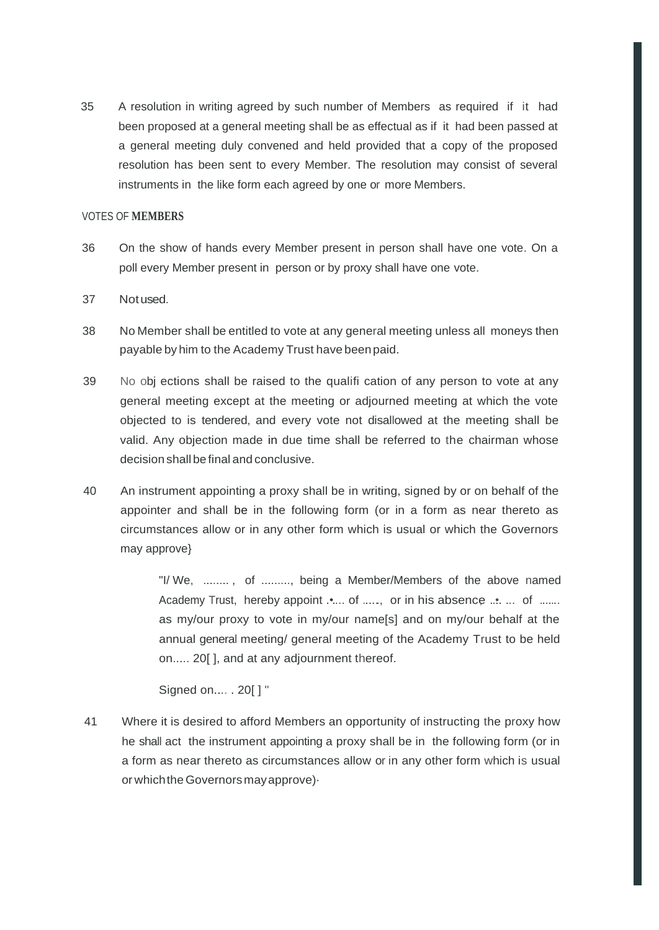35 A resolution in writing agreed by such number of Members as required if it had been proposed at a general meeting shall be as effectual as if it had been passed at a general meeting duly convened and held provided that a copy of the proposed resolution has been sent to every Member. The resolution may consist of several instruments in the like form each agreed by one or more Members.

#### VOTES OF **MEMBERS**

- 36 On the show of hands every Member present in person shall have one vote. On a poll every Member present in person or by proxy shall have one vote.
- 37 Notused.
- 38 No Member shall be entitled to vote at any general meeting unless all moneys then payable by him to the Academy Trust have beenpaid.
- 39 No obj ections shall be raised to the qualifi cation of any person to vote at any general meeting except at the meeting or adjourned meeting at which the vote objected to is tendered, and every vote not disallowed at the meeting shall be valid. Any objection made in due time shall be referred to the chairman whose decision shallbe final and conclusive.
- 40 An instrument appointing a proxy shall be in writing, signed by or on behalf of the appointer and shall be in the following form (or in a form as near thereto as circumstances allow or in any other form which is usual or which the Governors may approve}

"I/ We, ........ , of ........., being a Member/Members of the above named Academy Trust, hereby appoint .•.... of ......, or in his absence ...•. ... of ....... as my/our proxy to vote in my/our name[s] and on my/our behalf at the annual general meeting/ general meeting of the Academy Trust to be held on..... 20[ ], and at any adjournment thereof.

Signed on.... . 20[ ] "

41 Where it is desired to afford Members an opportunity of instructing the proxy how he shall act the instrument appointing a proxy shall be in the following form (or in a form as near thereto as circumstances allow or in any other form which is usual or whichtheGovernorsmayapprove)·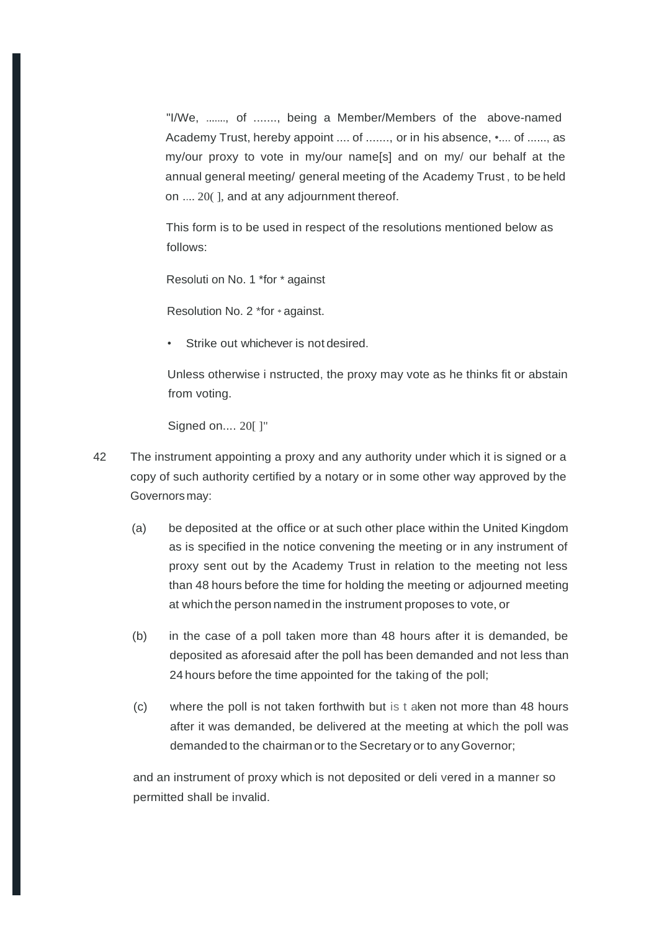"I/We, ......., of ......., being a Member/Members of the above-named Academy Trust, hereby appoint .... of ......., or in his absence, •.... of ......, as my/our proxy to vote in my/our name[s] and on my/ our behalf at the annual general meeting/ general meeting of the Academy Trust , to be held on .... 20( ], and at any adjournment thereof.

This form is to be used in respect of the resolutions mentioned below as follows:

Resoluti on No. 1 \*for \* against

Resolution No. 2 \*for \* against.

Strike out whichever is not desired.

Unless otherwise i nstructed, the proxy may vote as he thinks fit or abstain from voting.

Signed on.... 20[ ]"

- 42 The instrument appointing a proxy and any authority under which it is signed or a copy of such authority certified by a notary or in some other way approved by the Governorsmay:
	- (a) be deposited at the office or at such other place within the United Kingdom as is specified in the notice convening the meeting or in any instrument of proxy sent out by the Academy Trust in relation to the meeting not less than 48 hours before the time for holding the meeting or adjourned meeting at which the person namedin the instrument proposes to vote, or
	- (b) in the case of a poll taken more than 48 hours after it is demanded, be deposited as aforesaid after the poll has been demanded and not less than 24 hours before the time appointed for the taking of the poll;
	- (c) where the poll is not taken forthwith but is t aken not more than 48 hours after it was demanded, be delivered at the meeting at which the poll was demanded to the chairman or to the Secretary or to any Governor;

and an instrument of proxy which is not deposited or deli vered in a manner so permitted shall be invalid.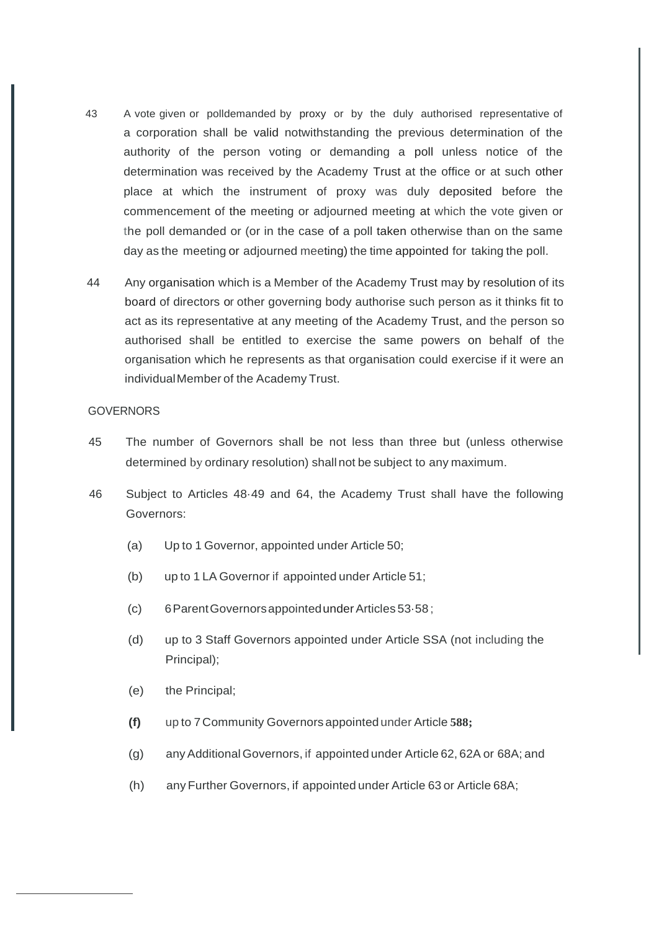- 43 A vote given or polldemanded by proxy or by the duly authorised representative of a corporation shall be valid notwithstanding the previous determination of the authority of the person voting or demanding a poll unless notice of the determination was received by the Academy Trust at the office or at such other place at which the instrument of proxy was duly deposited before the commencement of the meeting or adjourned meeting at which the vote given or the poll demanded or (or in the case of a poll taken otherwise than on the same day as the meeting or adjourned meeting) the time appointed for taking the poll.
- 44 Any organisation which is a Member of the Academy Trust may by resolution of its board of directors or other governing body authorise such person as it thinks fit to act as its representative at any meeting of the Academy Trust, and the person so authorised shall be entitled to exercise the same powers on behalf of the organisation which he represents as that organisation could exercise if it were an individualMember of the Academy Trust.

#### **GOVERNORS**

- 45 The number of Governors shall be not less than three but (unless otherwise determined by ordinary resolution) shall not be subject to any maximum.
- 46 Subject to Articles 48·49 and 64, the Academy Trust shall have the following Governors:
	- (a) Up to 1 Governor, appointed under Article 50;
	- (b) up to 1 LA Governor if appointed under Article 51;
	- (c) 6ParentGovernorsappointedunderArticles 53·58 ;
	- (d) up to 3 Staff Governors appointed under Article SSA (not including the Principal);
	- (e) the Principal;
	- **(f)** up to 7Community Governors appointed under Article **588;**
	- (g) anyAdditional Governors, if appointed under Article 62, 62A or 68A; and
	- (h) any Further Governors, if appointed under Article 63 or Article 68A;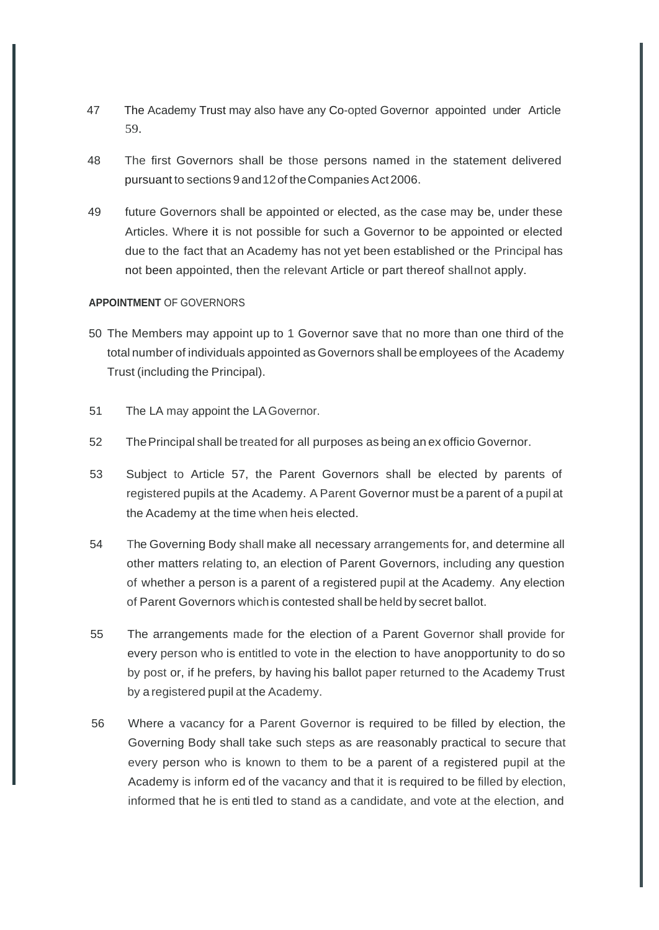- 47 The Academy Trust may also have any Co-opted Governor appointed under Article 59.
- 48 The first Governors shall be those persons named in the statement delivered pursuant to sections 9 and12of theCompanies Act2006.
- 49 future Governors shall be appointed or elected, as the case may be, under these Articles. Where it is not possible for such a Governor to be appointed or elected due to the fact that an Academy has not yet been established or the Principal has not been appointed, then the relevant Article or part thereof shallnot apply.

#### **APPOINTMENT** OF GOVERNORS

- 50 The Members may appoint up to 1 Governor save that no more than one third of the total number of individuals appointed as Governors shall be employees of the Academy Trust (including the Principal).
- 51 The LA may appoint the LAGovernor.
- 52 ThePrincipal shall be treated for all purposes as being an ex officio Governor.
- 53 Subject to Article 57, the Parent Governors shall be elected by parents of registered pupils at the Academy. A Parent Governor must be a parent of a pupil at the Academy at the time when heis elected.
- 54 The Governing Body shall make all necessary arrangements for, and determine all other matters relating to, an election of Parent Governors, including any question of whether a person is a parent of a registered pupil at the Academy. Any election of Parent Governors whichis contested shall be heldby secret ballot.
- 55 The arrangements made for the election of a Parent Governor shall provide for every person who is entitled to vote in the election to have anopportunity to do so by post or, if he prefers, by having his ballot paper returned to the Academy Trust by a registered pupil at the Academy.
- 56 Where a vacancy for a Parent Governor is required to be filled by election, the Governing Body shall take such steps as are reasonably practical to secure that every person who is known to them to be a parent of a registered pupil at the Academy is inform ed of the vacancy and that it is required to be filled by election, informed that he is enti tled to stand as a candidate, and vote at the election, and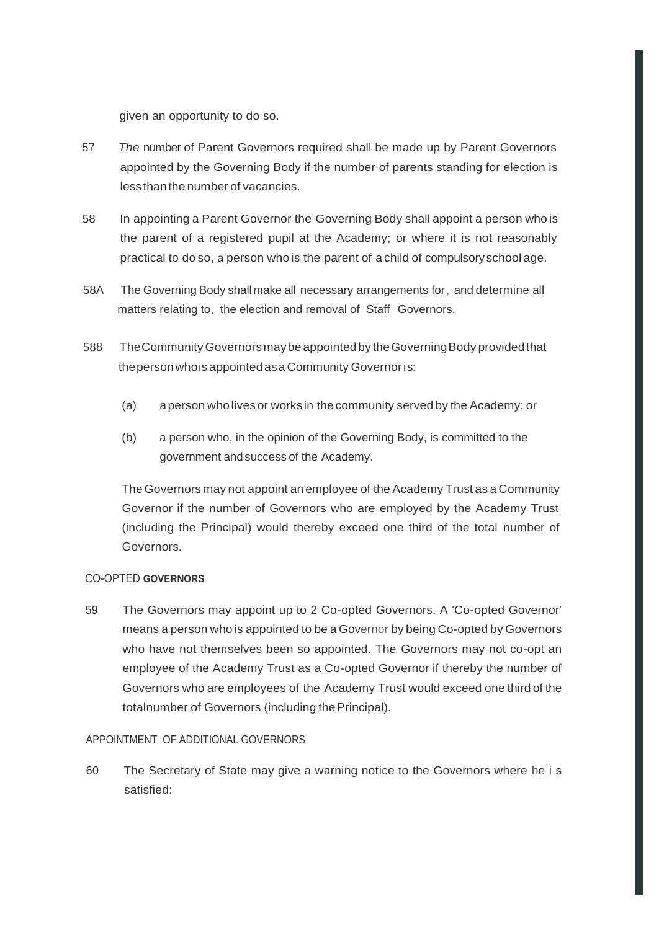given an opportunity to do so.

- 57 *The* number of Parent Governors required shall be made up by Parent Governors appointed by the Governing Body if the number of parents standing for election is less thanthe number of vacancies.
- 58 In appointing a Parent Governor the Governing Body shall appoint a person who is the parent of a registered pupil at the Academy; or where it is not reasonably practical to do so, a person who is the parent of a child of compulsoryschool age.
- 58A The Governing Body shall make all necessary arrangements for, and determine all matters relating to, the election and removal of Staff Governors.
- 588 TheCommunity Governorsmaybe appointed by theGoverningBody providedthat thepersonwhois appointedasa Community Governoris:
	- (a) aperson wholives or worksin thecommunity served by the Academy; or
	- (b) a person who, in the opinion of the Governing Body, is committed to the government andsuccess of the Academy.

TheGovernors may not appoint an employee of the Academy Trust as a Community Governor if the number of Governors who are employed by the Academy Trust (including the Principal) would thereby exceed one third of the total number of Governors.

### CO-OPTED **GOVERNORS**

59 The Governors may appoint up to 2 Co-opted Governors. A 'Co-opted Governor' means a person who is appointed to be a Governor by being Co-opted by Governors who have not themselves been so appointed. The Governors may not co-opt an employee of the Academy Trust as a Co-opted Governor if thereby the number of Governors who are employees of the Academy Trust would exceed one third of the totalnumber of Governors (including the Principal).

### APPOINTMENT OF ADDITIONAL GOVERNORS

60 The Secretary of State may give a warning notice to the Governors where he i s satisfied: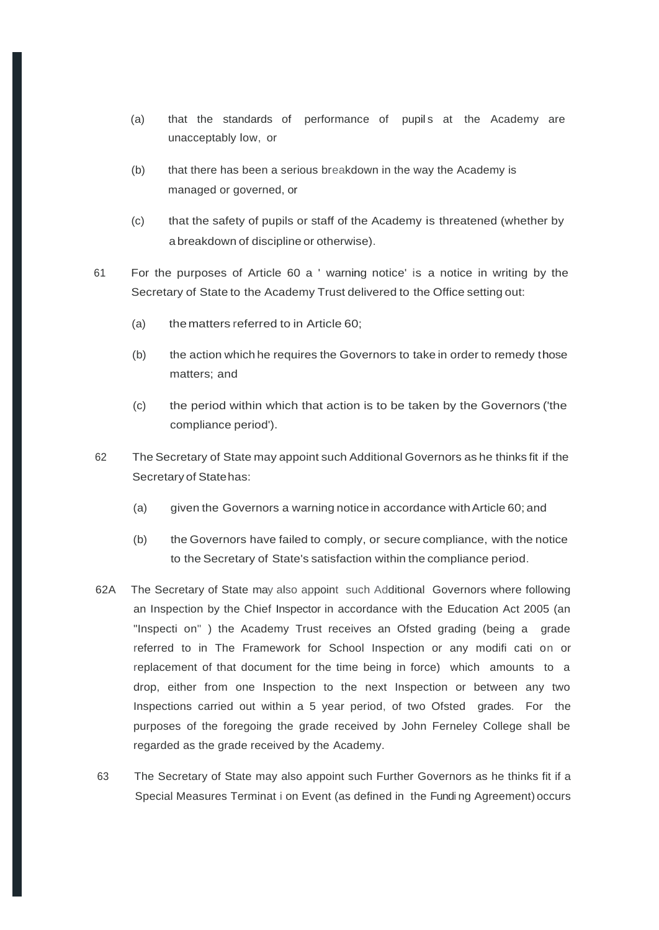- (a) that the standards of performance of pupils at the Academy are unacceptably low, or
- (b) that there has been a serious breakdown in the way the Academy is managed or governed, or
- (c) that the safety of pupils or staff of the Academy is threatened (whether by a breakdown of discipline or otherwise).
- 61 For the purposes of Article 60 a ' warning notice' is a notice in writing by the Secretary of State to the Academy Trust delivered to the Office setting out:
	- (a) thematters referred to in Article 60;
	- (b) the action which he requires the Governors to take in order to remedy those matters; and
	- (c) the period within which that action is to be taken by the Governors ('the compliance period').
- 62 The Secretary of State may appoint such Additional Governors as he thinks fit if the Secretary of Statehas:
	- (a) given the Governors a warning notice in accordance withArticle 60; and
	- (b) the Governors have failed to comply, or secure compliance, with the notice to the Secretary of State's satisfaction within the compliance period.
- 62A The Secretary of State may also appoint such Additional Governors where following an Inspection by the Chief Inspector in accordance with the Education Act 2005 (an "Inspecti on" ) the Academy Trust receives an Ofsted grading (being a grade referred to in The Framework for School Inspection or any modifi cati on or replacement of that document for the time being in force) which amounts to a drop, either from one Inspection to the next Inspection or between any two Inspections carried out within a 5 year period, of two Ofsted grades. For the purposes of the foregoing the grade received by John Ferneley College shall be regarded as the grade received by the Academy.
- 63 The Secretary of State may also appoint such Further Governors as he thinks fit if a Special Measures Terminat i on Event (as defined in the Fundi ng Agreement) occurs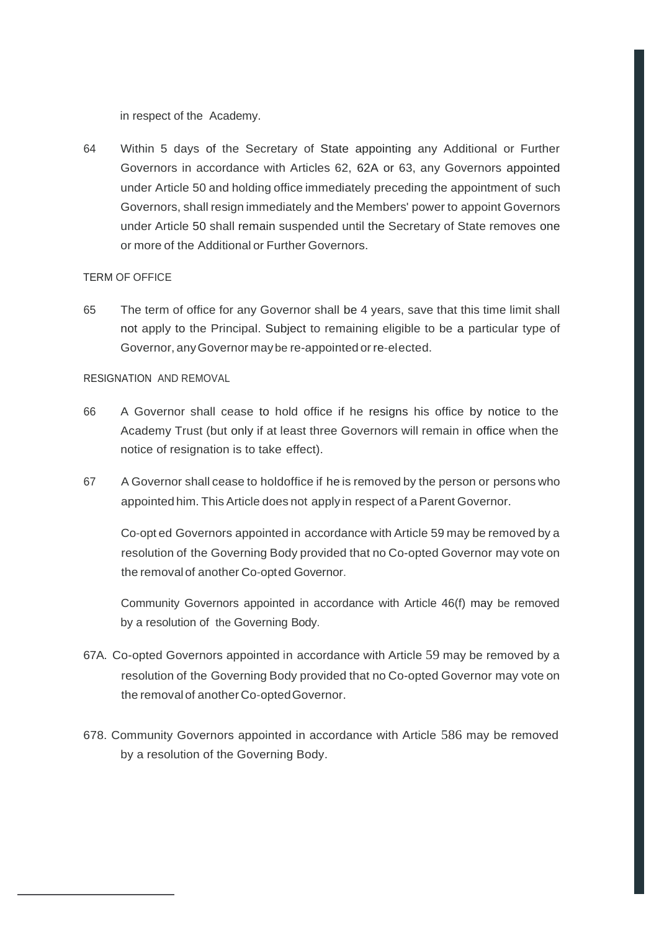in respect of the Academy.

64 Within 5 days of the Secretary of State appointing any Additional or Further Governors in accordance with Articles 62, 62A or 63, any Governors appointed under Article 50 and holding office immediately preceding the appointment of such Governors, shall resign immediately and the Members' power to appoint Governors under Article 50 shall remain suspended until the Secretary of State removes one or more of the Additional or Further Governors.

#### TERM OF OFFICE

65 The term of office for any Governor shall be 4 years, save that this time limit shall not apply to the Principal. Subject to remaining eligible to be a particular type of Governor, anyGovernor may be re-appointed or re-elected.

### RESIGNATION AND REMOVAL

- 66 A Governor shall cease to hold office if he resigns his office by notice to the Academy Trust (but only if at least three Governors will remain in office when the notice of resignation is to take effect).
- 67 A Governor shall cease to holdoffice if he is removed by the person or persons who appointed him. This Article does not apply in respect of a Parent Governor.

Co-opt ed Governors appointed in accordance with Article 59 may be removed by a resolution of the Governing Body provided that no Co-opted Governor may vote on the removalof another Co-opted Governor.

Community Governors appointed in accordance with Article 46(f) may be removed by a resolution of the Governing Body.

- 67A. Co-opted Governors appointed in accordance with Article 59 may be removed by a resolution of the Governing Body provided that no Co-opted Governor may vote on the removalof another Co-optedGovernor.
- 678. Community Governors appointed in accordance with Article 586 may be removed by a resolution of the Governing Body.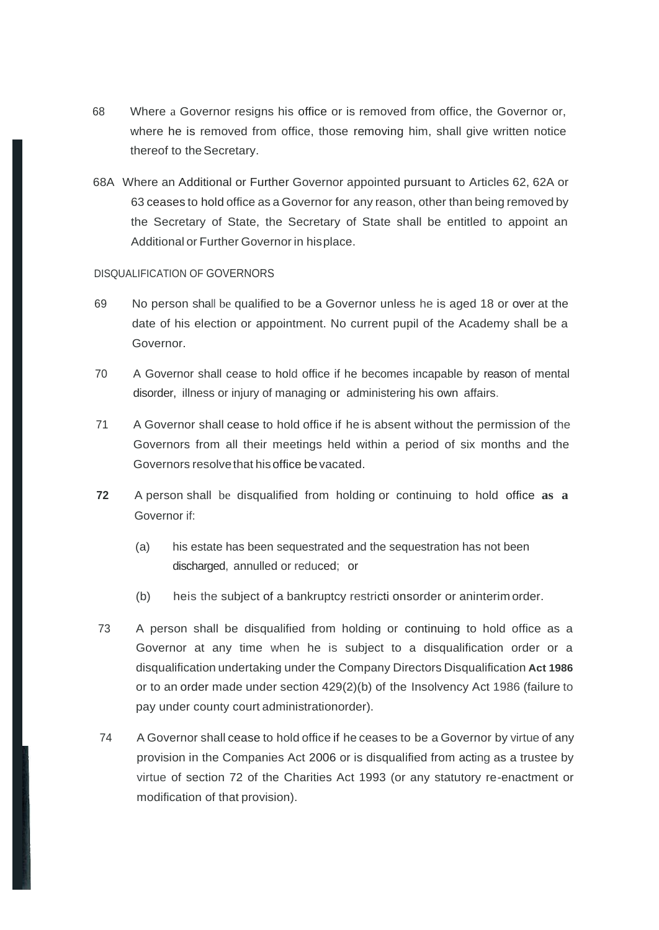- 68 Where a Governor resigns his office or is removed from office, the Governor or, where he is removed from office, those removing him, shall give written notice thereof to the Secretary.
- 68A Where an Additional or Further Governor appointed pursuant to Articles 62, 62A or 63 ceases to hold office as a Governor for any reason, other than being removed by the Secretary of State, the Secretary of State shall be entitled to appoint an Additional or Further Governor in hisplace.

#### DISQUALIFICATION OF GOVERNORS

- 69 No person shall be qualified to be a Governor unless he is aged 18 or over at the date of his election or appointment. No current pupil of the Academy shall be a Governor.
- 70 A Governor shall cease to hold office if he becomes incapable by reason of mental disorder, illness or injury of managing or administering his own affairs.
- 71 A Governor shall cease to hold office if he is absent without the permission of the Governors from all their meetings held within a period of six months and the Governors resolvethat hisoffice be vacated.
- **72** A person shall be disqualified from holding or continuing to hold office **as a** Governor if:
	- (a) his estate has been sequestrated and the sequestration has not been discharged, annulled or reduced; or
	- (b) heis the subject of a bankruptcy restricti onsorder or aninterim order.
- 73 A person shall be disqualified from holding or continuing to hold office as a Governor at any time when he is subject to a disqualification order or a disqualification undertaking under the Company Directors Disqualification **Act 1986**  or to an order made under section 429(2)(b) of the Insolvency Act 1986 (failure to pay under county court administrationorder).
- 74 A Governor shall cease to hold office if he ceases to be a Governor by virtue of any provision in the Companies Act 2006 or is disqualified from acting as a trustee by virtue of section 72 of the Charities Act 1993 (or any statutory re-enactment or modification of that provision).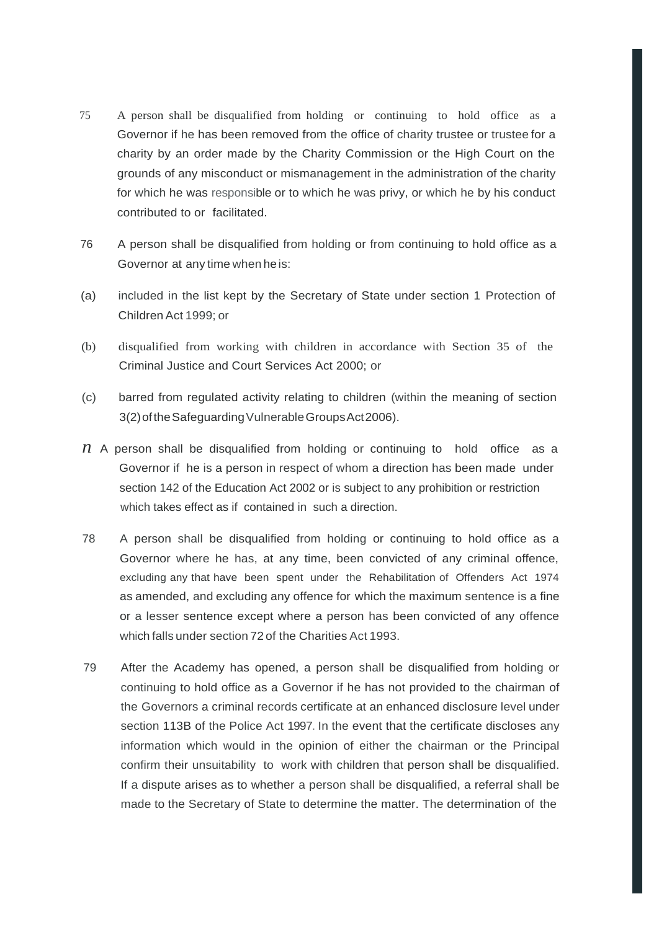- 75 A person shall be disqualified from holding or continuing to hold office as a Governor if he has been removed from the office of charity trustee or trustee for a charity by an order made by the Charity Commission or the High Court on the grounds of any misconduct or mismanagement in the administration of the charity for which he was responsible or to which he was privy, or which he by his conduct contributed to or facilitated.
- 76 A person shall be disqualified from holding or from continuing to hold office as a Governor at any time when heis:
- (a) included in the list kept by the Secretary of State under section 1 Protection of Children Act 1999; or
- (b) disqualified from working with children in accordance with Section 35 of the Criminal Justice and Court Services Act 2000; or
- (c) barred from regulated activity relating to children (within the meaning of section 3(2)oftheSafeguardingVulnerableGroupsAct2006).
- *n* A person shall be disqualified from holding or continuing to hold office as a Governor if he is a person in respect of whom a direction has been made under section 142 of the Education Act 2002 or is subject to any prohibition or restriction which takes effect as if contained in such a direction.
- 78 A person shall be disqualified from holding or continuing to hold office as a Governor where he has, at any time, been convicted of any criminal offence, excluding any that have been spent under the Rehabilitation of Offenders Act 1974 as amended, and excluding any offence for which the maximum sentence is a fine or a lesser sentence except where a person has been convicted of any offence which falls under section 72 of the Charities Act 1993.
- 79 After the Academy has opened, a person shall be disqualified from holding or continuing to hold office as a Governor if he has not provided to the chairman of the Governors a criminal records certificate at an enhanced disclosure level under section 113B of the Police Act 1997. In the event that the certificate discloses any information which would in the opinion of either the chairman or the Principal confirm their unsuitability to work with children that person shall be disqualified. If a dispute arises as to whether a person shall be disqualified, a referral shall be made to the Secretary of State to determine the matter. The determination of the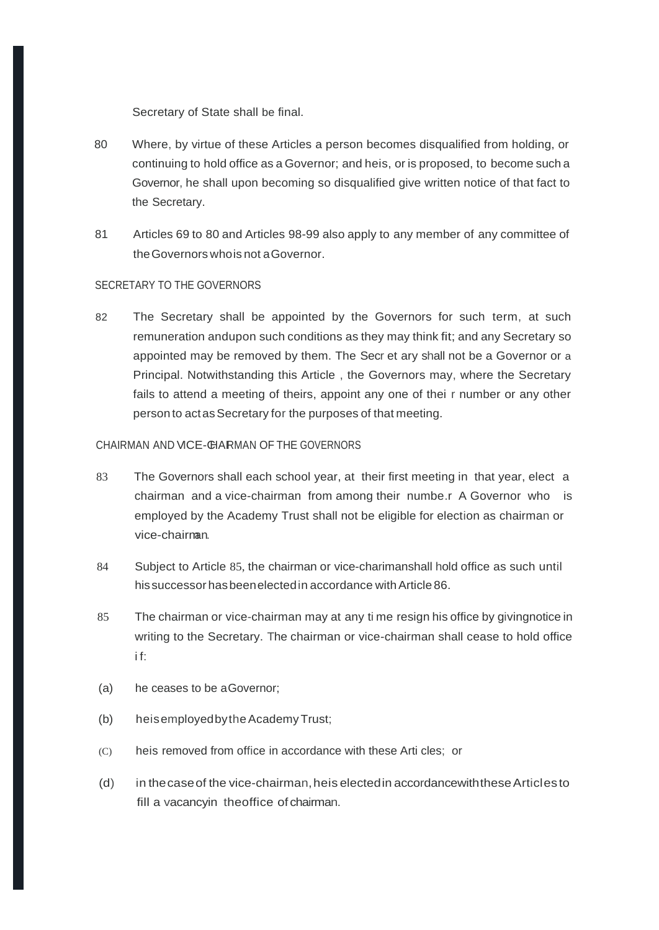Secretary of State shall be final.

- 80 Where, by virtue of these Articles a person becomes disqualified from holding, or continuing to hold office as a Governor; and heis, or is proposed, to become such a Governor, he shall upon becoming so disqualified give written notice of that fact to the Secretary.
- 81 Articles 69 to 80 and Articles 98-99 also apply to any member of any committee of theGovernors whois not aGovernor.

#### SECRETARY TO THE GOVERNORS

82 The Secretary shall be appointed by the Governors for such term, at such remuneration andupon such conditions as they may think fit; and any Secretary so appointed may be removed by them. The Secr et ary shall not be a Governor or a Principal. Notwithstanding this Article , the Governors may, where the Secretary fails to attend a meeting of theirs, appoint any one of thei r number or any other person to act as Secretary for the purposes of that meeting.

#### CHAIRMAN AND VICE-CHAIRMAN OF THE GOVERNORS

- 83 The Governors shall each school year, at their first meeting in that year, elect a chairman and a vice-chairman from among their numbe.r A Governor who is employed by the Academy Trust shall not be eligible for election as chairman or vice-chairman.
- 84 Subject to Article 85, the chairman or vice-charimanshall hold office as such until his successor has been elected in accordance with Article 86.
- 85 The chairman or vice-chairman may at any ti me resign his office by givingnotice in writing to the Secretary. The chairman or vice-chairman shall cease to hold office i f:
- (a) he ceases to be aGovernor;
- (b) heisemployedbytheAcademyTrust;
- (C) heis removed from office in accordance with these Arti cles; or
- (d) in the case of the vice-chairman, he is elected in accordance with these Articles to fill a vacancyin theoffice of chairman.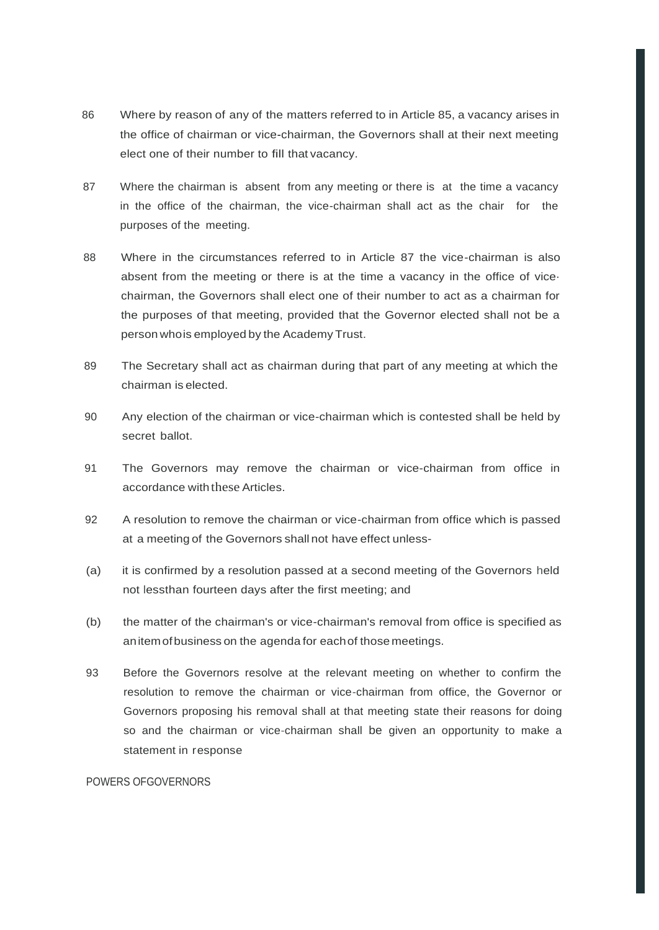- 86 Where by reason of any of the matters referred to in Article 85, a vacancy arises in the office of chairman or vice-chairman, the Governors shall at their next meeting elect one of their number to fill that vacancy.
- 87 Where the chairman is absent from any meeting or there is at the time a vacancy in the office of the chairman, the vice-chairman shall act as the chair for the purposes of the meeting.
- 88 Where in the circumstances referred to in Article 87 the vice-chairman is also absent from the meeting or there is at the time a vacancy in the office of vice· chairman, the Governors shall elect one of their number to act as a chairman for the purposes of that meeting, provided that the Governor elected shall not be a person whois employed by the Academy Trust.
- 89 The Secretary shall act as chairman during that part of any meeting at which the chairman is elected.
- 90 Any election of the chairman or vice-chairman which is contested shall be held by secret ballot.
- 91 The Governors may remove the chairman or vice-chairman from office in accordance with these Articles
- 92 A resolution to remove the chairman or vice-chairman from office which is passed at a meeting of the Governors shall not have effect unless-
- (a) it is confirmed by a resolution passed at a second meeting of the Governors held not lessthan fourteen days after the first meeting; and
- (b) the matter of the chairman's or vice-chairman's removal from office is specified as anitemofbusiness on the agenda for eachof those meetings.
- 93 Before the Governors resolve at the relevant meeting on whether to confirm the resolution to remove the chairman or vice-chairman from office, the Governor or Governors proposing his removal shall at that meeting state their reasons for doing so and the chairman or vice-chairman shall be given an opportunity to make a statement in response.

#### POWERS OFGOVERNORS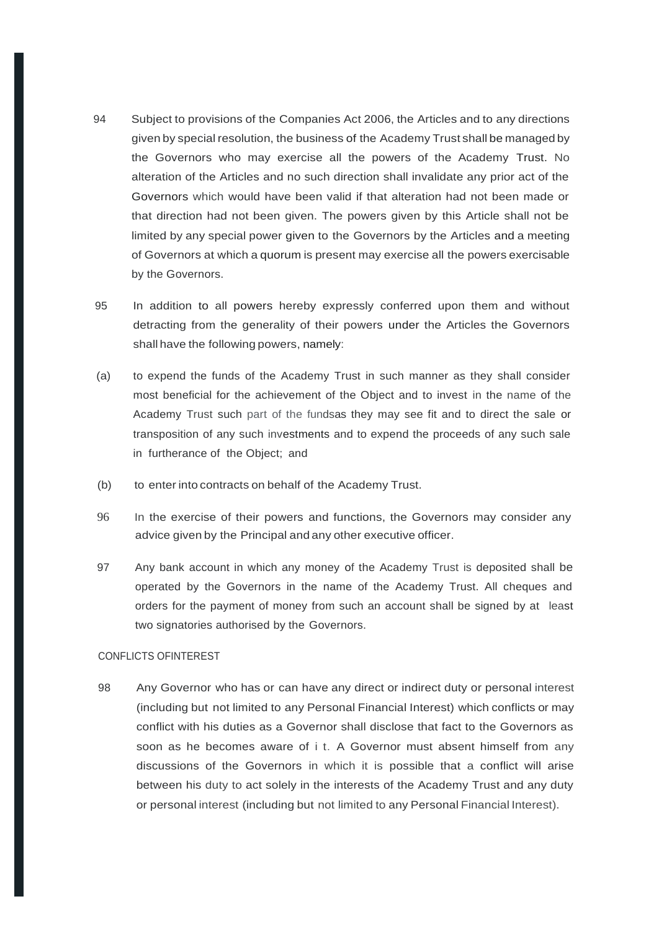- 94 Subject to provisions of the Companies Act 2006, the Articles and to any directions given by special resolution, the business of the Academy Trust shall be managed by the Governors who may exercise all the powers of the Academy Trust. No alteration of the Articles and no such direction shall invalidate any prior act of the Governors which would have been valid if that alteration had not been made or that direction had not been given. The powers given by this Article shall not be limited by any special power given to the Governors by the Articles and a meeting of Governors at which a quorum is present may exercise all the powers exercisable by the Governors.
- 95 In addition to all powers hereby expressly conferred upon them and without detracting from the generality of their powers under the Articles the Governors shall have the following powers, namely:
- (a) to expend the funds of the Academy Trust in such manner as they shall consider most beneficial for the achievement of the Object and to invest in the name of the Academy Trust such part of the fundsas they may see fit and to direct the sale or transposition of any such investments and to expend the proceeds of any such sale in furtherance of the Object; and
- (b) to enter into contracts on behalf of the Academy Trust.
- 96 In the exercise of their powers and functions, the Governors may consider any advice given by the Principal and any other executive officer.
- 97 Any bank account in which any money of the Academy Trust is deposited shall be operated by the Governors in the name of the Academy Trust. All cheques and orders for the payment of money from such an account shall be signed by at least two signatories authorised by the Governors.

#### CONFLICTS OFINTEREST

98 Any Governor who has or can have any direct or indirect duty or personal interest (including but not limited to any Personal Financial Interest) which conflicts or may conflict with his duties as a Governor shall disclose that fact to the Governors as soon as he becomes aware of i t. A Governor must absent himself from any discussions of the Governors in which it is possible that a conflict will arise between his duty to act solely in the interests of the Academy Trust and any duty or personal interest (including but not limited to any Personal Financial Interest).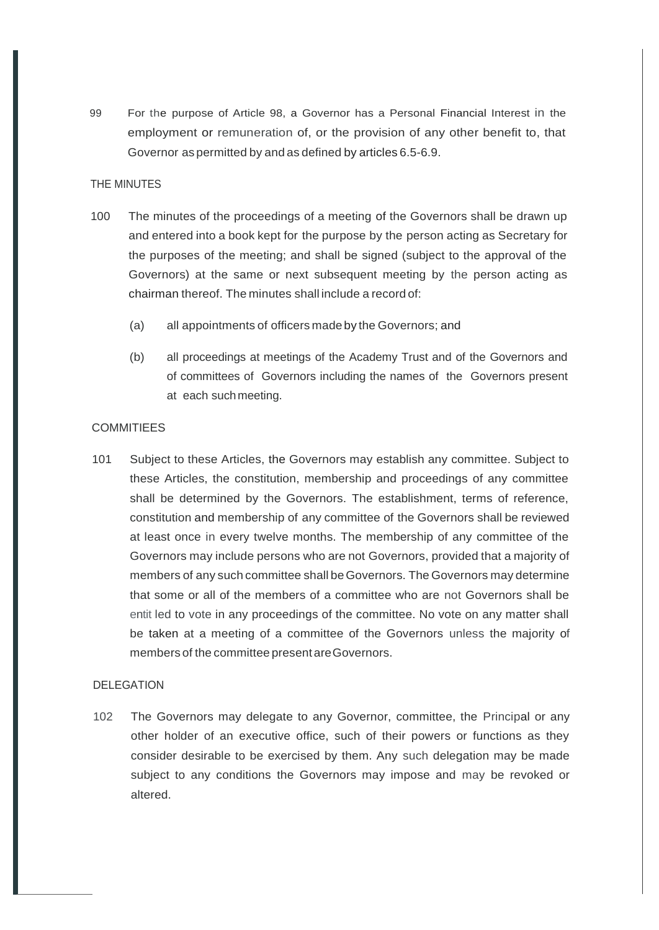99 For the purpose of Article 98, a Governor has a Personal Financial Interest in the employment or remuneration of, or the provision of any other benefit to, that Governor as permitted by and as defined by articles 6.5-6.9.

#### THE MINUTES

- 100 The minutes of the proceedings of a meeting of the Governors shall be drawn up and entered into a book kept for the purpose by the person acting as Secretary for the purposes of the meeting; and shall be signed (subject to the approval of the Governors) at the same or next subsequent meeting by the person acting as chairman thereof. The minutes shall include a record of:
	- (a) all appointments of officers made by the Governors; and
	- (b) all proceedings at meetings of the Academy Trust and of the Governors and of committees of Governors including the names of the Governors present at each suchmeeting.

#### **COMMITIEES**

101 Subject to these Articles, the Governors may establish any committee. Subject to these Articles, the constitution, membership and proceedings of any committee shall be determined by the Governors. The establishment, terms of reference, constitution and membership of any committee of the Governors shall be reviewed at least once in every twelve months. The membership of any committee of the Governors may include persons who are not Governors, provided that a majority of members of any such committee shall beGovernors. The Governors may determine that some or all of the members of a committee who are not Governors shall be entit led to vote in any proceedings of the committee. No vote on any matter shall be taken at a meeting of a committee of the Governors unless the majority of members of the committee presentareGovernors.

#### DELEGATION

102 The Governors may delegate to any Governor, committee, the Principal or any other holder of an executive office, such of their powers or functions as they consider desirable to be exercised by them. Any such delegation may be made subject to any conditions the Governors may impose and may be revoked or altered.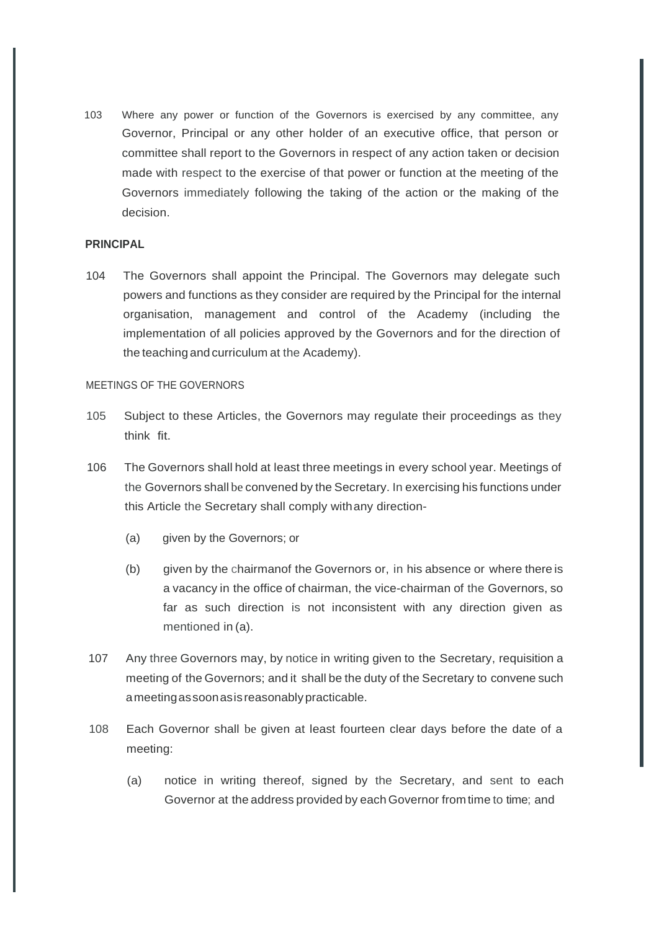103 Where any power or function of the Governors is exercised by any committee, any Governor, Principal or any other holder of an executive office, that person or committee shall report to the Governors in respect of any action taken or decision made with respect to the exercise of that power or function at the meeting of the Governors immediately following the taking of the action or the making of the decision.

#### **PRINCIPAL**

104 The Governors shall appoint the Principal. The Governors may delegate such powers and functions as they consider are required by the Principal for the internal organisation, management and control of the Academy (including the implementation of all policies approved by the Governors and for the direction of the teaching and curriculum at the Academy).

#### MEETINGS OF THE GOVERNORS

- 105 Subject to these Articles, the Governors may regulate their proceedings as they think fit.
- 106 The Governors shall hold at least three meetings in every school year. Meetings of the Governors shall be convened by the Secretary. In exercising his functions under this Article the Secretary shall comply withany direction-
	- (a) given by the Governors; or
	- (b) given by the chairmanof the Governors or, in his absence or where there is a vacancy in the office of chairman, the vice-chairman of the Governors, so far as such direction is not inconsistent with any direction given as mentioned in (a).
- 107 Any three Governors may, by notice in writing given to the Secretary, requisition a meeting of the Governors; and it shall be the duty of the Secretary to convene such ameetingassoonasisreasonably practicable.
- 108 Each Governor shall be given at least fourteen clear days before the date of a meeting:
	- (a) notice in writing thereof, signed by the Secretary, and sent to each Governor at the address provided by each Governor fromtime to time; and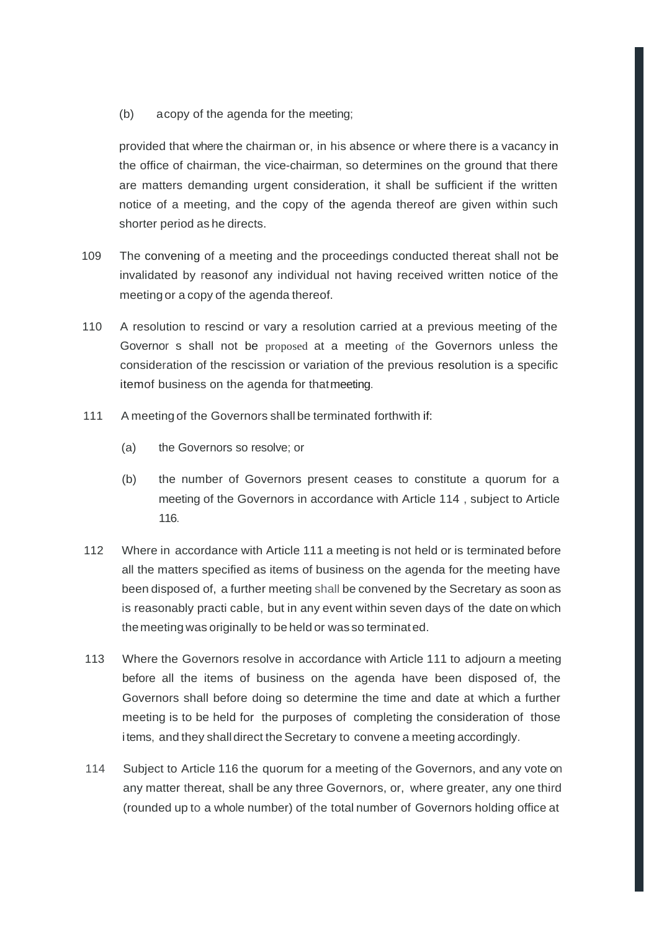(b) acopy of the agenda for the meeting;

provided that where the chairman or, in his absence or where there is a vacancy in the office of chairman, the vice-chairman, so determines on the ground that there are matters demanding urgent consideration, it shall be sufficient if the written notice of a meeting, and the copy of the agenda thereof are given within such shorter period as he directs.

- 109 The convening of a meeting and the proceedings conducted thereat shall not be invalidated by reasonof any individual not having received written notice of the meeting or a copy of the agenda thereof.
- 110 A resolution to rescind or vary a resolution carried at a previous meeting of the Governor s shall not be proposed at a meeting of the Governors unless the consideration of the rescission or variation of the previous resolution is a specific itemof business on the agenda for thatmeeting.
- 111 A meeting of the Governors shall be terminated forthwith if:
	- (a) the Governors so resolve; or
	- (b) the number of Governors present ceases to constitute a quorum for a meeting of the Governors in accordance with Article 114 , subject to Article 116.
- 112 Where in accordance with Article 111 a meeting is not held or is terminated before all the matters specified as items of business on the agenda for the meeting have been disposed of, a further meeting shall be convened by the Secretary as soon as is reasonably practi cable, but in any event within seven days of the date on which themeeting was originally to be held or was so terminated.
- 113 Where the Governors resolve in accordance with Article 111 to adjourn a meeting before all the items of business on the agenda have been disposed of, the Governors shall before doing so determine the time and date at which a further meeting is to be held for the purposes of completing the consideration of those items, and they shall direct the Secretary to convene a meeting accordingly.
- 114 Subject to Article 116 the quorum for a meeting of the Governors, and any vote on any matter thereat, shall be any three Governors, or, where greater, any one third (rounded up to a whole number) of the total number of Governors holding office at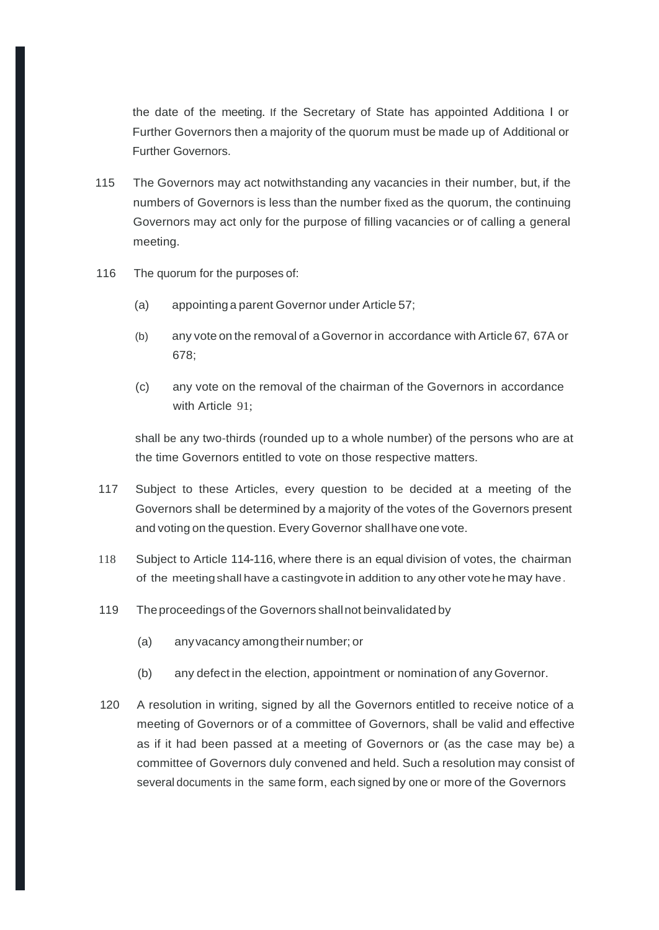the date of the meeting. If the Secretary of State has appointed Additiona l or Further Governors then a majority of the quorum must be made up of Additional or Further Governors.

- 115 The Governors may act notwithstanding any vacancies in their number, but, if the numbers of Governors is less than the number fixed as the quorum, the continuing Governors may act only for the purpose of filling vacancies or of calling a general meeting.
- 116 The quorum for the purposes of:
	- (a) appointing a parent Governor under Article 57;
	- (b) any vote on the removal of aGovernor in accordance with Article 67, 67A or 678;
	- (c) any vote on the removal of the chairman of the Governors in accordance with Article 91:

shall be any two-thirds (rounded up to a whole number) of the persons who are at the time Governors entitled to vote on those respective matters.

- 117 Subject to these Articles, every question to be decided at a meeting of the Governors shall be determined by a majority of the votes of the Governors present and voting on the question. Every Governor shallhave one vote.
- 118 Subject to Article 114-116, where there is an equal division of votes, the chairman of the meetingshall have a castingvote in addition to any other votehemay have.
- 119 Theproceedings of the Governors shallnot beinvalidated by
	- (a) anyvacancy amongtheir number; or
	- (b) any defect in the election, appointment or nomination of any Governor.
- 120 A resolution in writing, signed by all the Governors entitled to receive notice of a meeting of Governors or of a committee of Governors, shall be valid and effective as if it had been passed at a meeting of Governors or (as the case may be) a committee of Governors duly convened and held. Such a resolution may consist of several documents in the same form, each signed by one or more of the Governors.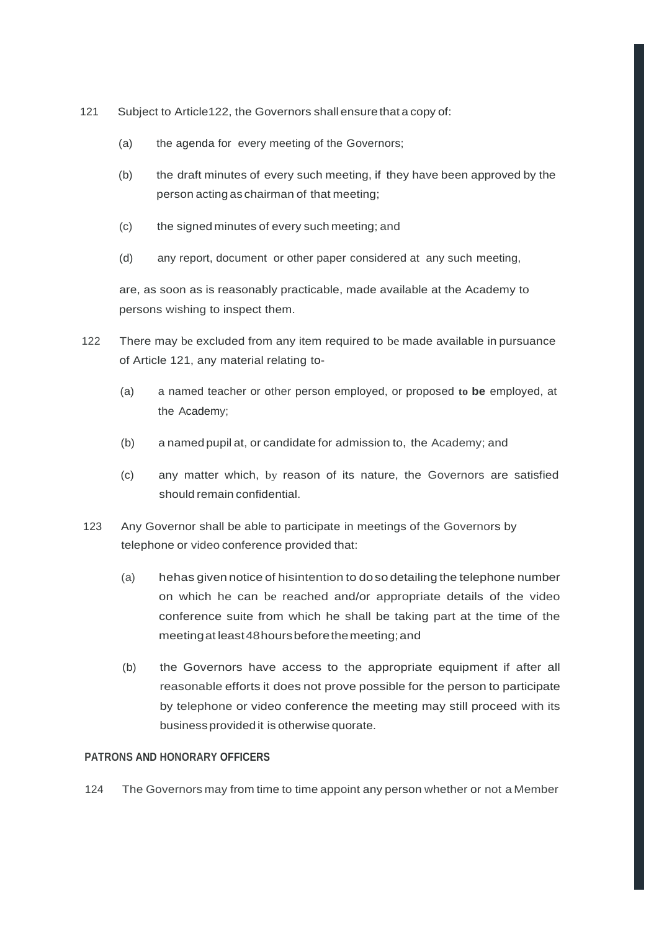- 121 Subject to Article122, the Governors shall ensure that a copy of:
	- (a) the agenda for every meeting of the Governors;
	- (b) the draft minutes of every such meeting, if they have been approved by the person acting as chairman of that meeting;
	- (c) the signed minutes of every such meeting; and
	- (d) any report, document or other paper considered at any such meeting,

are, as soon as is reasonably practicable, made available at the Academy to persons wishing to inspect them.

- 122 There may be excluded from any item required to be made available in pursuance of Article 121, any material relating to-
	- (a) a named teacher or other person employed, or proposed **to be** employed, at the Academy;
	- (b) a named pupil at, or candidate for admission to, the Academy; and
	- (c) any matter which, by reason of its nature, the Governors are satisfied should remain confidential.
- 123 Any Governor shall be able to participate in meetings of the Governors by telephone or video conference provided that:
	- (a) hehasgiven notice of hisintention to doso detailing the telephone number on which he can be reached and/or appropriate details of the video conference suite from which he shall be taking part at the time of the meetingat least48hoursbeforethemeeting;and
	- (b) the Governors have access to the appropriate equipment if after all reasonable efforts it does not prove possible for the person to participate by telephone or video conference the meeting may still proceed with its business provided it is otherwise quorate.

#### **PATRONS AND HONORARY OFFICERS**

124 The Governors may from time to time appoint any person whether or not a Member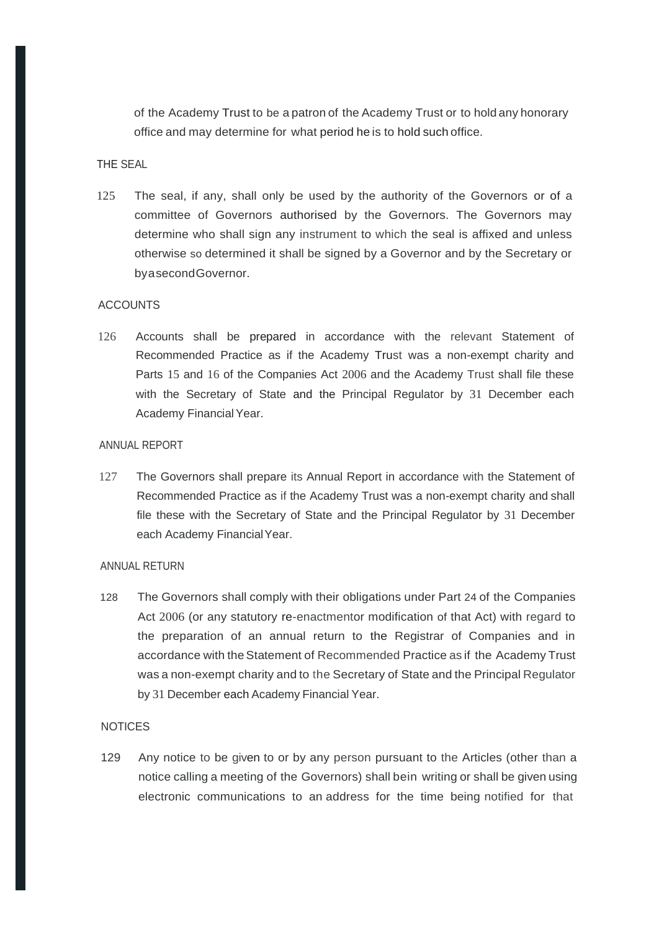of the Academy Trust to be a patron of the Academy Trust or to hold any honorary office and may determine for what period he is to hold such office.

### THE SEAL

125 The seal, if any, shall only be used by the authority of the Governors or of a committee of Governors authorised by the Governors. The Governors may determine who shall sign any instrument to which the seal is affixed and unless otherwise so determined it shall be signed by a Governor and by the Secretary or byasecondGovernor.

## **ACCOUNTS**

126 Accounts shall be prepared in accordance with the relevant Statement of Recommended Practice as if the Academy Trust was a non-exempt charity and Parts 15 and 16 of the Companies Act 2006 and the Academy Trust shall file these with the Secretary of State and the Principal Regulator by 31 December each Academy FinancialYear.

#### ANNUAL REPORT

127 The Governors shall prepare its Annual Report in accordance with the Statement of Recommended Practice as if the Academy Trust was a non-exempt charity and shall file these with the Secretary of State and the Principal Regulator by 31 December each Academy FinancialYear.

#### ANNUAL RETURN

128 The Governors shall comply with their obligations under Part 24 of the Companies Act 2006 (or any statutory re-enactmentor modification of that Act) with regard to the preparation of an annual return to the Registrar of Companies and in accordance with the Statement of Recommended Practice as if the Academy Trust was a non-exempt charity and to the Secretary of State and the Principal Regulator by 31 December each Academy Financial Year.

### **NOTICES**

129 Any notice to be given to or by any person pursuant to the Articles (other than a notice calling a meeting of the Governors) shall bein writing or shall be given using electronic communications to an address for the time being notified for that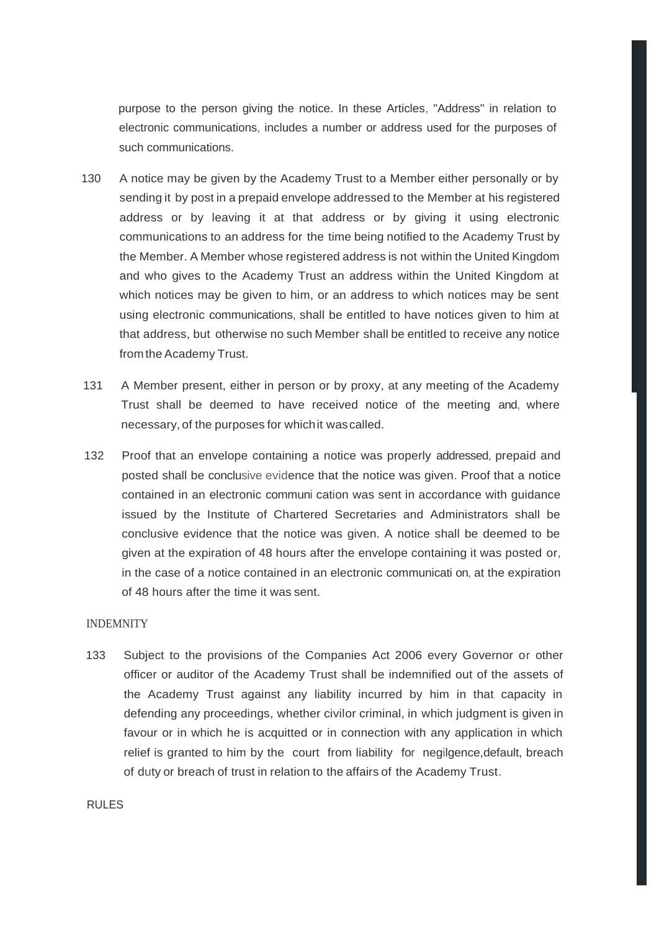purpose to the person giving the notice. In these Articles, "Address" in relation to electronic communications, includes a number or address used for the purposes of such communications.

- 130 A notice may be given by the Academy Trust to a Member either personally or by sending it by post in a prepaid envelope addressed to the Member at his registered address or by leaving it at that address or by giving it using electronic communications to an address for the time being notified to the Academy Trust by the Member. A Member whose registered address is not within the United Kingdom and who gives to the Academy Trust an address within the United Kingdom at which notices may be given to him, or an address to which notices may be sent using electronic communications, shall be entitled to have notices given to him at that address, but otherwise no such Member shall be entitled to receive any notice from the Academy Trust.
- 131 A Member present, either in person or by proxy, at any meeting of the Academy Trust shall be deemed to have received notice of the meeting and, where necessary, of the purposes for whichit wascalled.
- 132 Proof that an envelope containing a notice was properly addressed, prepaid and posted shall be conclusive evidence that the notice was given. Proof that a notice contained in an electronic communi cation was sent in accordance with guidance issued by the Institute of Chartered Secretaries and Administrators shall be conclusive evidence that the notice was given. A notice shall be deemed to be given at the expiration of 48 hours after the envelope containing it was posted or, in the case of a notice contained in an electronic communicati on, at the expiration of 48 hours after the time it was sent.

#### INDEMNITY

133 Subject to the provisions of the Companies Act 2006 every Governor or other officer or auditor of the Academy Trust shall be indemnified out of the assets of the Academy Trust against any liability incurred by him in that capacity in defending any proceedings, whether civilor criminal, in which judgment is given in favour or in which he is acquitted or in connection with any application in which relief is granted to him by the court from liability for negilgence,default, breach of duty or breach of trust in relation to the affairs of the Academy Trust.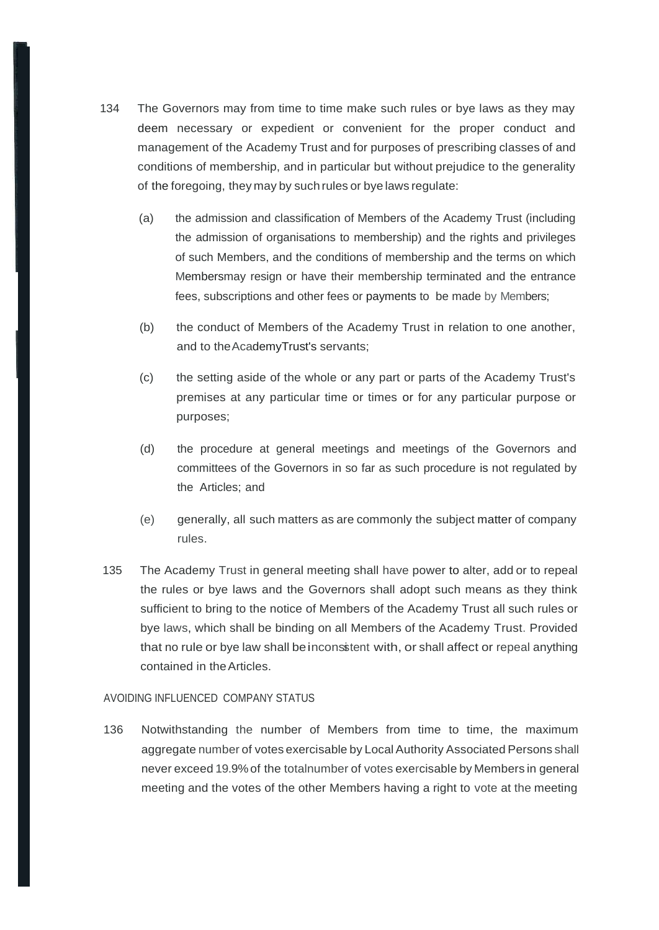- 134 The Governors may from time to time make such rules or bye laws as they may deem necessary or expedient or convenient for the proper conduct and management of the Academy Trust and for purposes of prescribing classes of and conditions of membership, and in particular but without prejudice to the generality of the foregoing, they may by such rules or bye laws regulate:
	- (a) the admission and classification of Members of the Academy Trust (including the admission of organisations to membership) and the rights and privileges of such Members, and the conditions of membership and the terms on which Membersmay resign or have their membership terminated and the entrance fees, subscriptions and other fees or payments to be made by Members;
	- (b) the conduct of Members of the Academy Trust in relation to one another, and to theAcademyTrust's servants;
	- (c) the setting aside of the whole or any part or parts of the Academy Trust's premises at any particular time or times or for any particular purpose or purposes;
	- (d) the procedure at general meetings and meetings of the Governors and committees of the Governors in so far as such procedure is not regulated by the Articles; and
	- (e) generally, all such matters as are commonly the subject matter of company rules.
- 135 The Academy Trust in general meeting shall have power to alter, add or to repeal the rules or bye laws and the Governors shall adopt such means as they think sufficient to bring to the notice of Members of the Academy Trust all such rules or bye laws, which shall be binding on all Members of the Academy Trust. Provided that no rule or bye law shall beinconsitent with, or shall affect or repeal anything contained in theArticles.

#### AVOIDING INFLUENCED COMPANY STATUS

136 Notwithstanding the number of Members from time to time, the maximum aggregate number of votes exercisable by LocalAuthority Associated Persons shall never exceed 19.9%of the totalnumber of votes exercisable by Members in general meeting and the votes of the other Members having a right to vote at the meeting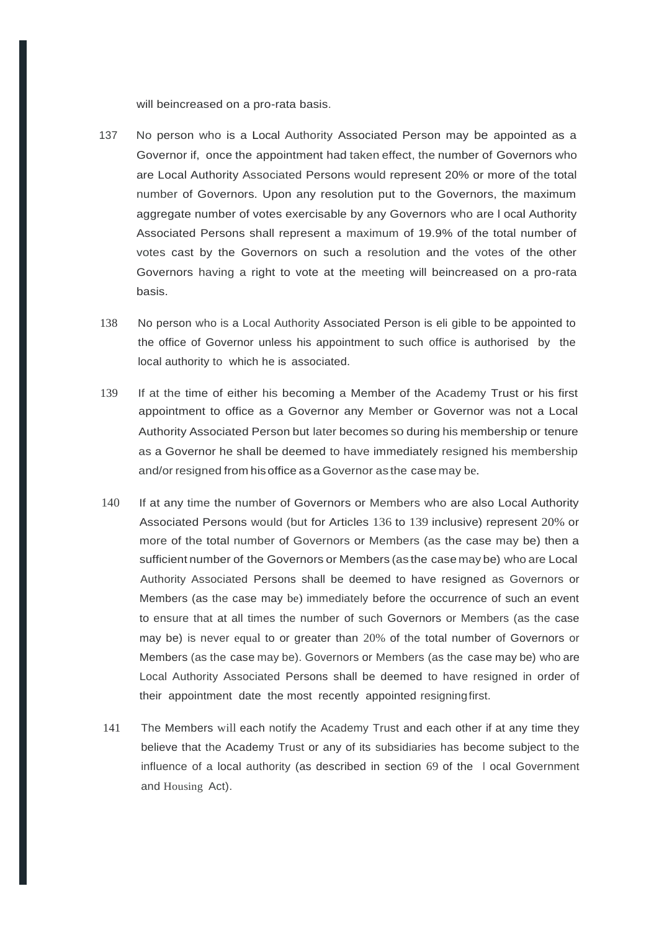will beincreased on a pro-rata basis.

- 137 No person who is a Local Authority Associated Person may be appointed as a Governor if, once the appointment had taken effect, the number of Governors who are Local Authority Associated Persons would represent 20% or more of the total number of Governors. Upon any resolution put to the Governors, the maximum aggregate number of votes exercisable by any Governors who are l ocal Authority Associated Persons shall represent a maximum of 19.9% of the total number of votes cast by the Governors on such a resolution and the votes of the other Governors having a right to vote at the meeting will beincreased on a pro-rata basis.
- 138 No person who is a Local Authority Associated Person is eli gible to be appointed to the office of Governor unless his appointment to such office is authorised by the local authority to which he is associated.
- 139 If at the time of either his becoming a Member of the Academy Trust or his first appointment to office as a Governor any Member or Governor was not a Local Authority Associated Person but later becomes so during his membership or tenure as a Governor he shall be deemed to have immediately resigned his membership and/or resigned from hisoffice as a Governor as the case may be.
- 140 If at any time the number of Governors or Members who are also Local Authority Associated Persons would (but for Articles 136 to 139 inclusive) represent 20% or more of the total number of Governors or Members (as the case may be) then a sufficient number of the Governors or Members (as the case may be) who are Local Authority Associated Persons shall be deemed to have resigned as Governors or Members (as the case may be) immediately before the occurrence of such an event to ensure that at all times the number of such Governors or Members (as the case may be) is never equal to or greater than 20% of the total number of Governors or Members (as the case may be). Governors or Members (as the case may be) who are Local Authority Associated Persons shall be deemed to have resigned in order of their appointment date the most recently appointed resigningfirst.
- 141 The Members will each notify the Academy Trust and each other if at any time they believe that the Academy Trust or any of its subsidiaries has become subject to the influence of a local authority (as described in section 69 of the l ocal Government and Housing Act).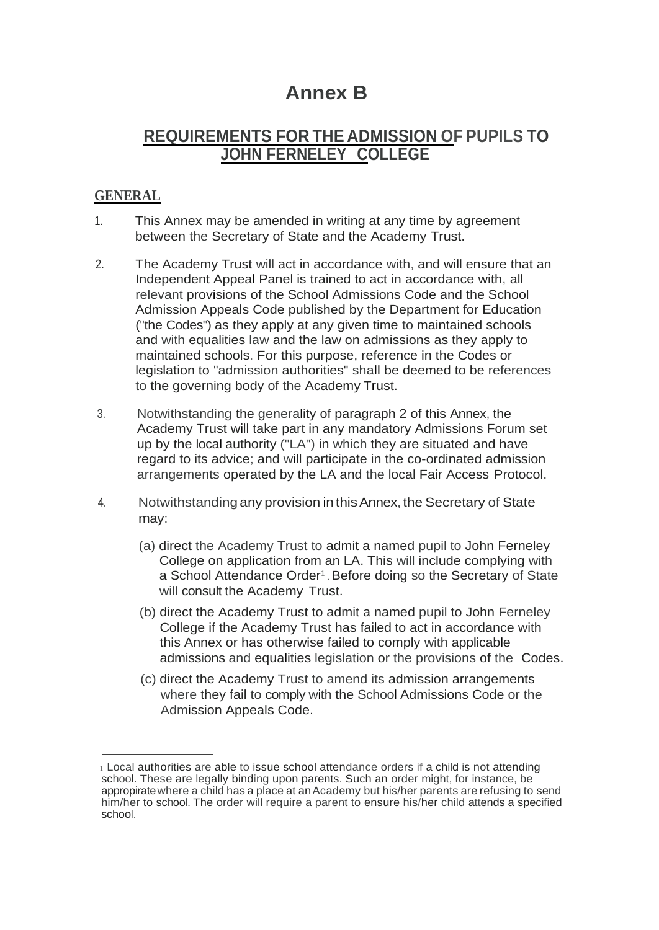# **Annex B**

# **REQUIREMENTS FOR THE ADMISSION OF PUPILS TO JOHN FERNELEY COLLEGE**

# **GENERAL**

- 1. This Annex may be amended in writing at any time by agreement between the Secretary of State and the Academy Trust.
- 2. The Academy Trust will act in accordance with, and will ensure that an Independent Appeal Panel is trained to act in accordance with, all relevant provisions of the School Admissions Code and the School Admission Appeals Code published by the Department for Education ("the Codes") as they apply at any given time to maintained schools and with equalities law and the law on admissions as they apply to maintained schools. For this purpose, reference in the Codes or legislation to "admission authorities" shall be deemed to be references to the governing body of the Academy Trust.
- 3. Notwithstanding the generality of paragraph 2 of this Annex, the Academy Trust will take part in any mandatory Admissions Forum set up by the local authority ("LA") in which they are situated and have regard to its advice; and will participate in the co-ordinated admission arrangements operated by the LA and the local Fair Access Protocol.
- 4. Notwithstanding any provision in thisAnnex, the Secretary of State may:
	- (a) direct the Academy Trust to admit a named pupil to John Ferneley College on application from an LA. This will include complying with a School Attendance Order<sup>1</sup>. Before doing so the Secretary of State will consult the Academy Trust.
	- (b) direct the Academy Trust to admit a named pupil to John Ferneley College if the Academy Trust has failed to act in accordance with this Annex or has otherwise failed to comply with applicable admissions and equalities legislation or the provisions of the Codes.
	- (c) direct the Academy Trust to amend its admission arrangements where they fail to comply with the School Admissions Code or the Admission Appeals Code.

<sup>1</sup>Local authorities are able to issue school attendance orders if a child is not attending school. These are legally binding upon parents. Such an order might, for instance, be appropiratewhere a child has a place at anAcademy but his/her parents are refusing to send him/her to school. The order will require a parent to ensure his/her child attends a specified school.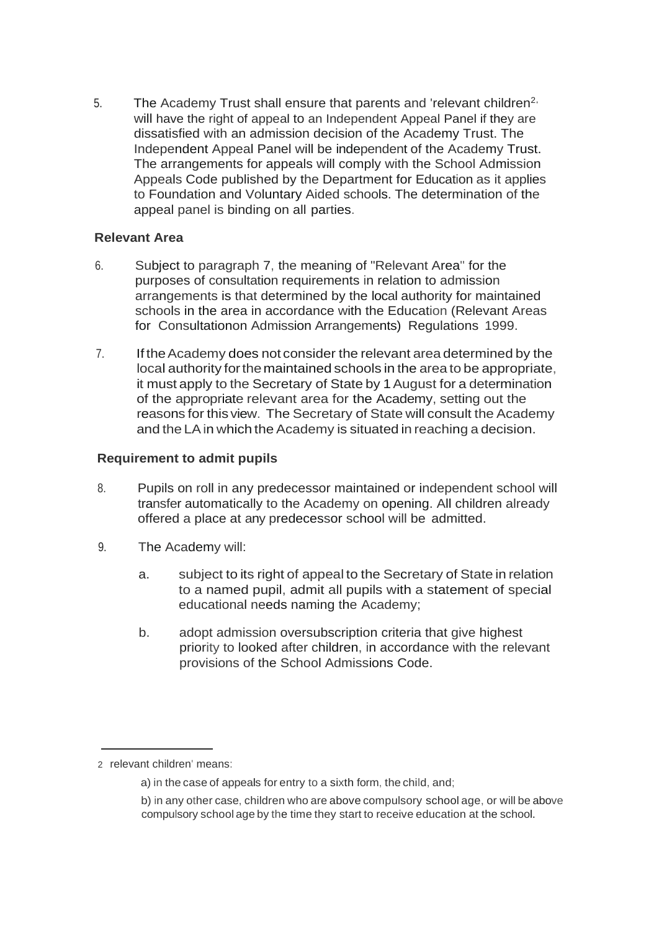5. The Academy Trust shall ensure that parents and 'relevant children<sup>2,</sup> will have the right of appeal to an Independent Appeal Panel if they are dissatisfied with an admission decision of the Academy Trust. The Independent Appeal Panel will be independent of the Academy Trust. The arrangements for appeals will comply with the School Admission Appeals Code published by the Department for Education as it applies to Foundation and Voluntary Aided schools. The determination of the appeal panel is binding on all parties.

## **Relevant Area**

- 6. Subject to paragraph 7, the meaning of "Relevant Area" for the purposes of consultation requirements in relation to admission arrangements is that determined by the local authority for maintained schools in the area in accordance with the Education (Relevant Areas for Consultationon Admission Arrangements) Regulations 1999.
- 7. If the Academy does not consider the relevant area determined by the local authority forthemaintained schools in the area to be appropriate, it must apply to the Secretary of State by 1August for a determination of the appropriate relevant area for the Academy, setting out the reasons for this view. The Secretary of State will consult the Academy and the LA in which the Academy is situated in reaching a decision.

## **Requirement to admit pupils**

- 8. Pupils on roll in any predecessor maintained or independent school will transfer automatically to the Academy on opening. All children already offered a place at any predecessor school will be admitted.
- 9. The Academy will:
	- a. subject to its right of appeal to the Secretary of State in relation to a named pupil, admit all pupils with a statement of special educational needs naming the Academy;
	- b. adopt admission oversubscription criteria that give highest priority to looked after children, in accordance with the relevant provisions of the School Admissions Code.

<sup>2</sup> relevant children' means:

a) in the case of appeals for entry to a sixth form, the child, and;

b) in any other case, children who are above compulsory school age, or will be above compulsory school age by the time they start to receive education at the school.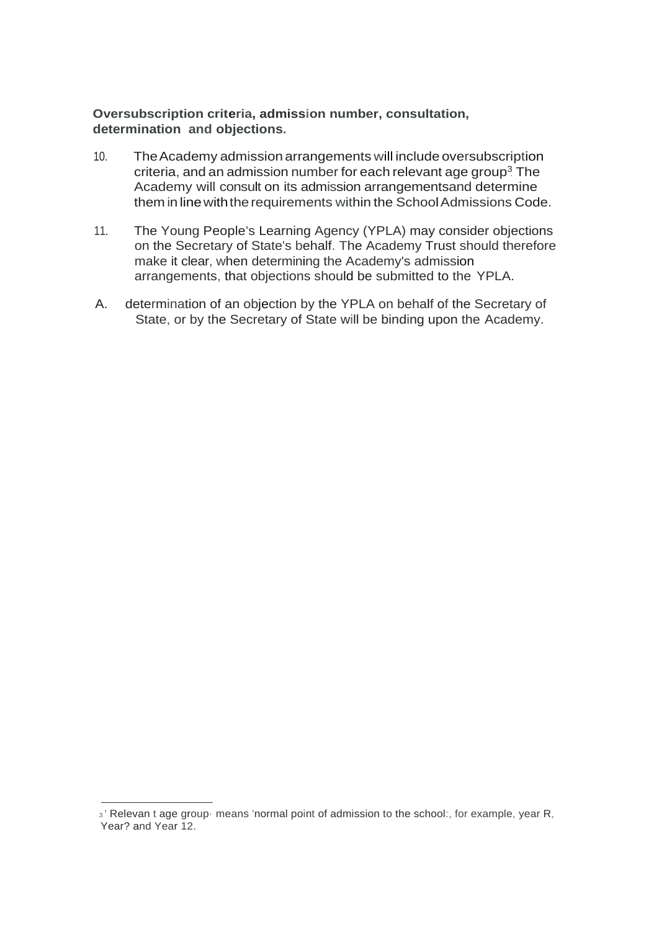## **Oversubscription criteria, admission number, consultation, determination and objections.**

- criteria, and an admission number for each relevant age group<sup>3</sup> The 10. TheAcademy admission arrangements will include oversubscription Academy will consult on its admission arrangementsand determine them in line with the requirements within the School Admissions Code.
- 11. The Young People's Learning Agency (YPLA) may consider objections on the Secretary of State's behalf. The Academy Trust should therefore make it clear, when determining the Academy's admission arrangements, that objections should be submitted to the YPLA.
- A. determination of an objection by the YPLA on behalf of the Secretary of State, or by the Secretary of State will be binding upon the Academy.

<sup>3</sup>' Relevan t age group· means 'normal point of admission to the school:, for example, year R, Year? and Year 12.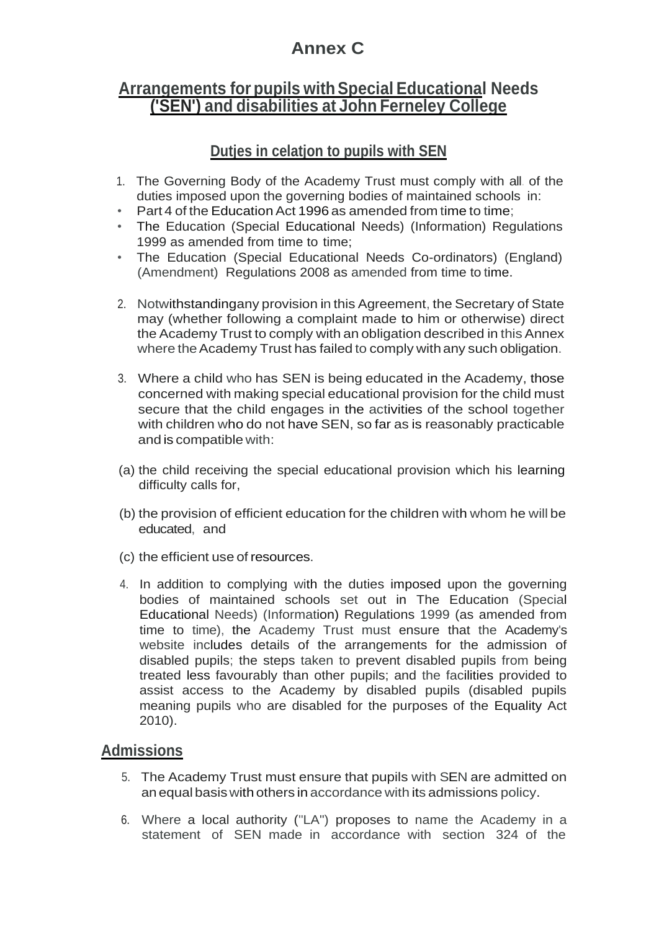# **Annex C**

# **Arrangements for pupils withSpecial Educational Needs ('SEN') and disabilities at John Ferneley College**

# **Dutjes in celatjon to pupils with SEN**

- 1. The Governing Body of the Academy Trust must comply with all. of the duties imposed upon the governing bodies of maintained schools in:
- Part 4 of the Education Act 1996 as amended from time to time;
- The Education (Special Educational Needs) (Information) Regulations 1999 as amended from time to time;
- The Education (Special Educational Needs Co-ordinators) (England) (Amendment) Regulations 2008 as amended from time to time.
- 2. Notwithstandingany provision in this Agreement, the Secretary of State may (whether following a complaint made to him or otherwise) direct the Academy Trust to comply with an obligation described in this Annex where the Academy Trust has failed to comply with any such obligation.
- 3. Where a child who has SEN is being educated in the Academy, those concerned with making special educational provision for the child must secure that the child engages in the activities of the school together with children who do not have SEN, so far as is reasonably practicable and is compatible with:
- (a) the child receiving the special educational provision which his learning difficulty calls for,
- (b) the provision of efficient education for the children with whom he will be educated, and
- (c) the efficient use of resources.
- 4. In addition to complying with the duties imposed upon the governing bodies of maintained schools set out in The Education (Special Educational Needs) (Information) Regulations 1999 (as amended from time to time), the Academy Trust must ensure that the Academy's website includes details of the arrangements for the admission of disabled pupils; the steps taken to prevent disabled pupils from being treated less favourably than other pupils; and the facilities provided to assist access to the Academy by disabled pupils (disabled pupils meaning pupils who are disabled for the purposes of the Equality Act 2010).

# **Admissions**

- 5. The Academy Trust must ensure that pupils with SEN are admitted on anequal basiswith others in accordance with its admissions policy.
- 6. Where a local authority ("LA") proposes to name the Academy in a statement of SEN made in accordance with section 324 of the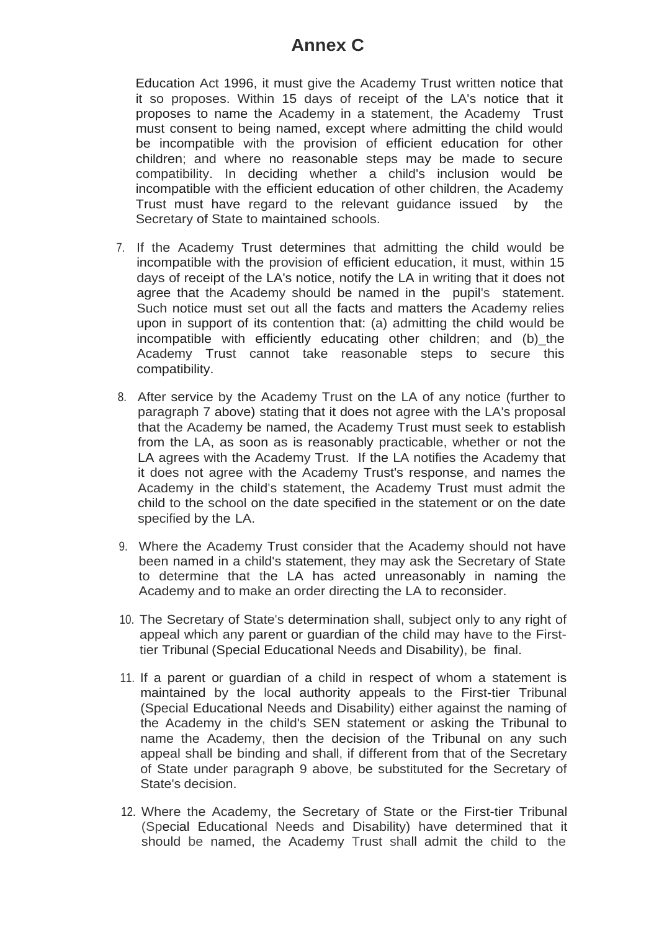# **Annex C**

Education Act 1996, it must give the Academy Trust written notice that it so proposes. Within 15 days of receipt of the LA's notice that it proposes to name the Academy in a statement, the Academy Trust must consent to being named, except where admitting the child would be incompatible with the provision of efficient education for other children; and where no reasonable steps may be made to secure compatibility. In deciding whether a child's inclusion would be incompatible with the efficient education of other children, the Academy Trust must have regard to the relevant guidance issued by the Secretary of State to maintained schools.

- 7. If the Academy Trust determines that admitting the child would be incompatible with the provision of efficient education, it must, within 15 days of receipt of the LA's notice, notify the LA in writing that it does not agree that the Academy should be named in the pupil's statement. Such notice must set out all the facts and matters the Academy relies upon in support of its contention that: (a) admitting the child would be incompatible with efficiently educating other children; and (b)\_the Academy Trust cannot take reasonable steps to secure this compatibility.
- 8. After service by the Academy Trust on the LA of any notice (further to paragraph 7 above) stating that it does not agree with the LA's proposal that the Academy be named, the Academy Trust must seek to establish from the LA, as soon as is reasonably practicable, whether or not the LA agrees with the Academy Trust. If the LA notifies the Academy that it does not agree with the Academy Trust's response, and names the Academy in the child's statement, the Academy Trust must admit the child to the school on the date specified in the statement or on the date specified by the LA.
- 9. Where the Academy Trust consider that the Academy should not have been named in a child's statement, they may ask the Secretary of State to determine that the LA has acted unreasonably in naming the Academy and to make an order directing the LA to reconsider.
- 10. The Secretary of State's determination shall, subject only to any right of appeal which any parent or guardian of the child may have to the Firsttier Tribunal (Special Educational Needs and Disability), be final.
- 11. If a parent or guardian of a child in respect of whom a statement is maintained by the local authority appeals to the First-tier Tribunal (Special Educational Needs and Disability) either against the naming of the Academy in the child's SEN statement or asking the Tribunal to name the Academy, then the decision of the Tribunal on any such appeal shall be binding and shall, if different from that of the Secretary of State under paragraph 9 above, be substituted for the Secretary of State's decision.
- 12. Where the Academy, the Secretary of State or the First-tier Tribunal (Special Educational Needs and Disability) have determined that it should be named, the Academy Trust shall admit the child to the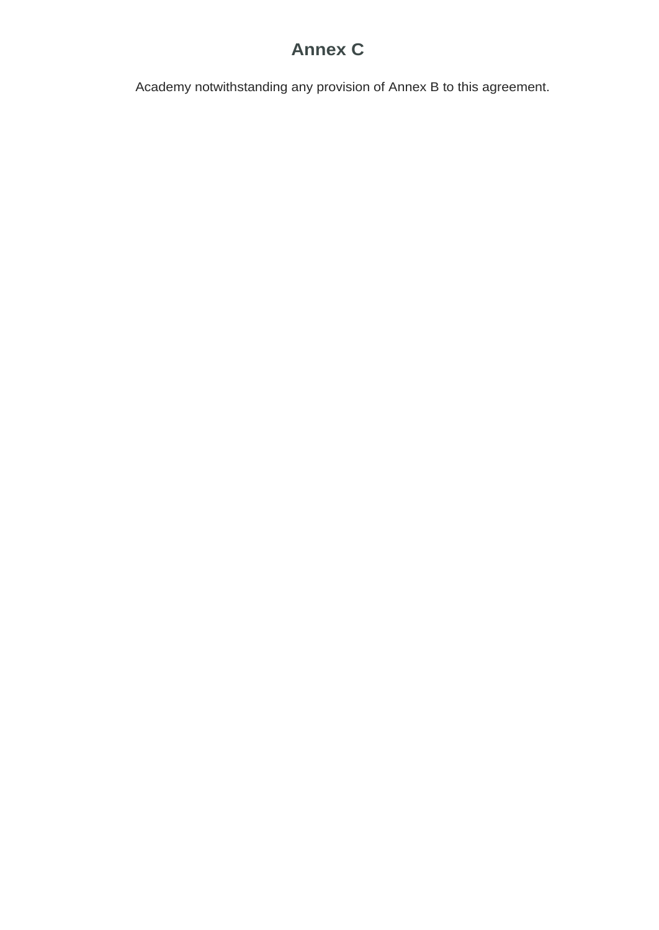# **Annex C**

Academy notwithstanding any provision of Annex B to this agreement.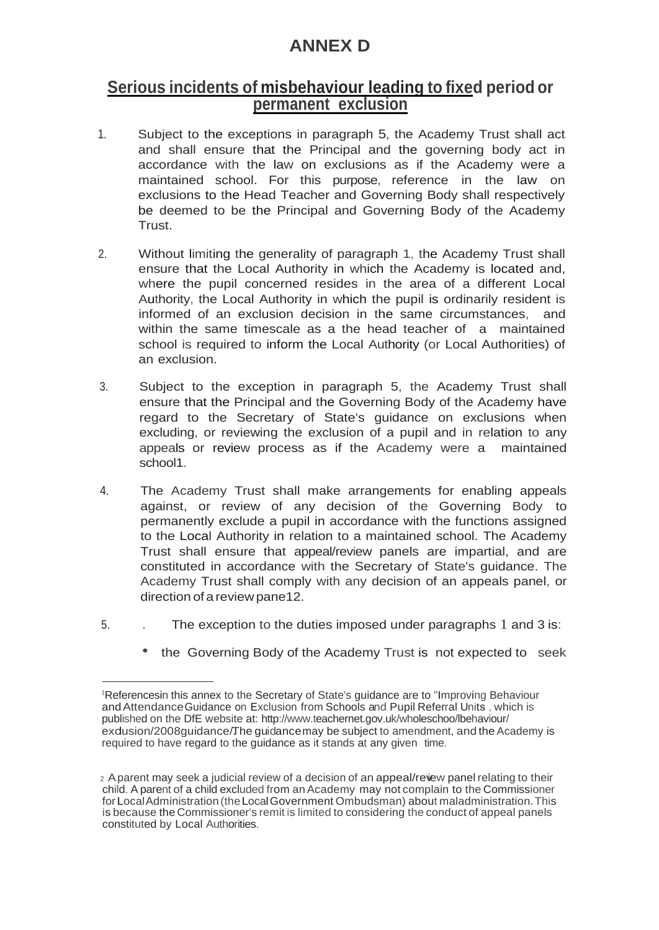# **ANNEX D**

# **Serious incidents of misbehaviour leading to fixed period or permanent exclusion**

- 1. Subject to the exceptions in paragraph 5, the Academy Trust shall act and shall ensure that the Principal and the governing body act in accordance with the law on exclusions as if the Academy were a maintained school. For this purpose, reference in the law on exclusions to the Head Teacher and Governing Body shall respectively be deemed to be the Principal and Governing Body of the Academy Trust.
- 2. Without limiting the generality of paragraph 1, the Academy Trust shall ensure that the Local Authority in which the Academy is located and, where the pupil concerned resides in the area of a different Local Authority, the Local Authority in which the pupil is ordinarily resident is informed of an exclusion decision in the same circumstances, and within the same timescale as a the head teacher of a maintained school is required to inform the Local Authority (or Local Authorities) of an exclusion.
- 3. Subject to the exception in paragraph 5, the Academy Trust shall ensure that the Principal and the Governing Body of the Academy have regard to the Secretary of State's guidance on exclusions when excluding, or reviewing the exclusion of a pupil and in relation to any appeals or review process as if the Academy were a maintained school1.
- 4. The Academy Trust shall make arrangements for enabling appeals against, or review of any decision of the Governing Body to permanently exclude a pupil in accordance with the functions assigned to the Local Authority in relation to a maintained school. The Academy Trust shall ensure that appeal/review panels are impartial, and are constituted in accordance with the Secretary of State's guidance. The Academy Trust shall comply with any decision of an appeals panel, or direction of areviewpane12.
- 5. . The exception to the duties imposed under paragraphs 1 and 3 is:
	- the Governing Body of the Academy Trust is not expected to seek

<sup>1</sup>Referencesin this annex to the Secretary of State's guidance are to "Improving Behaviour and Attendance Guidance on Exclusion from Schools and Pupil Referral Units, which is published on the DfE website at:<http://www.teachernet.gov.uk/wholeschoo/lbehaviour/> exdusion/2008guidance/The guidancemay be subject to amendment, and the Academy is required to have regard to the guidance as it stands at any given time.

<sup>2</sup> A parent may seek a judicial review of a decision of an appeal/review panel relating to their child. A parent of a child excluded from an Academy may not complain to the Commissioner forLocalAdministration(theLocalGovernment Ombudsman) about maladministration.This is because the Commissioner's remit is limited to considering the conduct of appeal panels constituted by Local Authorities.